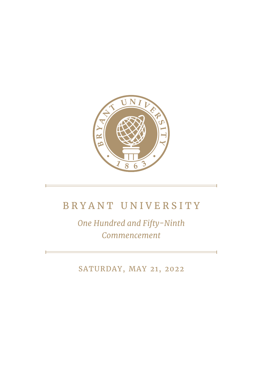

## BRYANT UNIVERSITY

*One Hundred and Fifty-Ninth Commencement*

SATURDAY, MAY 21, 2022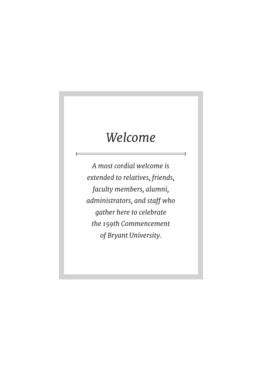# *Welcome*

*A most cordial welcome is extended to relatives, friends, faculty members, alumni, administrators, and staff who gather here to celebrate the 159th Commencement of Bryant University.*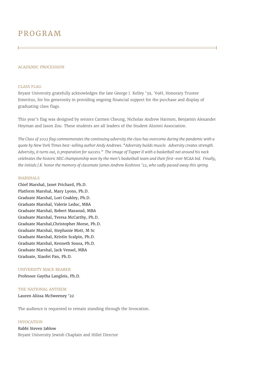## PROGRAM

#### ACADEMIC PROCESSION

#### CLASS FLAG

Bryant University gratefully acknowledges the late George J. Kelley '39, '69H, Honorary Trustee Emeritus, for his generosity in providing ongoing financial support for the purchase and display of graduating class flags.

This year's flag was designed by seniors Carmen Cheung, Nicholas Andrew Harmon, Benjamin Alexander Heyman and Jason Zou. These students are all leaders of the Student Alumni Association.

*The Class of 2022 flag commemorates the continuing adversity the class has overcome during the pandemic with a quote by New York Times best-selling author Andy Andrews. "Adversity builds muscle. Adversity creates strength. Adversity, it turns out, is preparation for success." The image of Tupper II with a basketball net around his neck celebrates the historic NEC championship won by the men's basketball team and their first-ever NCAA bid. Finally, the initials J.K. honor the memory of classmate James Andrew Koshivos '22, who sadly passed away this spring.*

#### **MARSHALS**

Chief Marshal, Janet Prichard, Ph.D. Platform Marshal, Mary Lyons, Ph.D. Graduate Marshal, Lori Coakley, Ph.D. Graduate Marshal, Valerie Leduc, MBA Graduate Marshal, Robert Massoud, MBA Graduate Marshal, Teresa McCarthy, Ph.D. Graduate Marshal,Christopher Morse, Ph.D. Graduate Marshal, Stephanie Mott, M Sc Graduate Marshal, Kristin Scalpin, Ph.D. Graduate Marshal, Kenneth Sousa, Ph.D. Graduate Marshal, Jack Vensel, MBA Graduate, Xiaofei Pan, Ph.D.

#### UNIVERSITY MACE BEARER

Professor Gaytha Langlois, Ph.D.

#### THE NATIONAL ANTHEM

Lauren Alissa McSweeney '22

The audience is requested to remain standing through the Invocation.

#### INVOCATION

Rabbi Steven Jablow Bryant University Jewish Chaplain and Hillel Director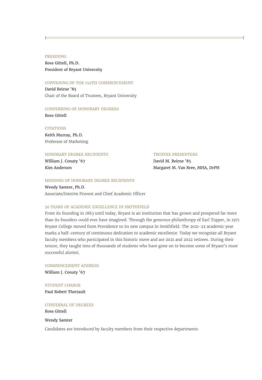PRESIDING

Ross Gittell, Ph.D. President of Bryant University

#### CONVENING OF THE 159TH COMMENCEMENT

David Beirne '85 Chair of the Board of Trustees, Bryant University

#### CONFERRING OF HONORARY DEGREES

Ross Gittell

#### **CITATIONS**

Keith Murray, Ph.D. Professor of Marketing

#### HONORARY DEGREE RECIPIENTS TRUSTEE PRESENTERS

William J. Conaty '67 **David M. Beirne** '85 Kim Anderson **Margaret M. Van Bree, MHA, DrPH** 

#### HOODING OF HONORARY DEGREE RECIPIENTS

Wendy Samter, Ph.D. Associate/Interim Provost and Chief Academic Officer

#### 50 YEARS OF ACADEMIC EXCELLENCE IN SMITHFIELD

From its founding in 1863 until today, Bryant is an institution that has grown and prospered far more than its founders could ever have imagined. Through the generous philanthropy of Earl Tupper, in 1971 Bryant College moved from Providence to its new campus in Smithfield. The 2021-22 academic year marks a half-century of continuous dedication to academic excellence. Today we recognize all Bryant faculty members who participated in this historic move and are 2021 and 2022 retirees. During their tenure, they taught tens of thousands of students who have gone on to become some of Bryant's most successful alumni.

COMMENCEMENT ADDRESS William J. Conaty '67

STUDENT CHARGE Paul Robert Theriault

#### CONFERRAL OF DEGREES

Ross Gittell

#### Wendy Samter

Candidates are introduced by faculty members from their respective departments.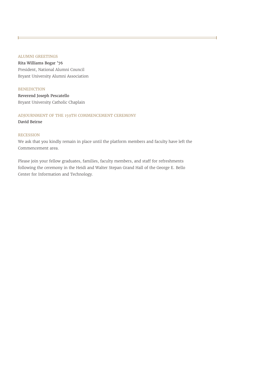#### ALUMNI GREETINGS

Rita Williams Bogar '76 President, National Alumni Council Bryant University Alumni Association

#### **BENEDICTION**

Reverend Joseph Pescatello Bryant University Catholic Chaplain

#### ADJOURNMENT OF THE 159TH COMMENCEMENT CEREMONY

David Beirne

#### **RECESSION**

We ask that you kindly remain in place until the platform members and faculty have left the Commencement area.

Please join your fellow graduates, families, faculty members, and staff for refreshments following the ceremony in the Heidi and Walter Stepan Grand Hall of the George E. Bello Center for Information and Technology.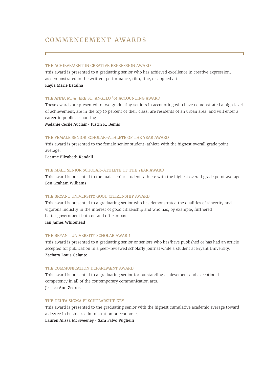### COMMENCEMENT AWARDS

#### THE ACHIEVEMENT IN CREATIVE EXPRESSION AWARD

This award is presented to a graduating senior who has achieved excellence in creative expression, as demonstrated in the written, performance, film, fine, or applied arts. Kayla Marie Batalha

#### THE ANNA M. & JERE ST. ANGELO '61 ACCOUNTING AWARD

These awards are presented to two graduating seniors in accounting who have demonstrated a high level of achievement, are in the top 10 percent of their class, are residents of an urban area, and will enter a career in public accounting.

Melanie Cecile Auclair • Justin K. Bemis

#### THE FEMALE SENIOR SCHOLAR-ATHLETE OF THE YEAR AWARD

This award is presented to the female senior student-athlete with the highest overall grade point average.

Leanne Elizabeth Kendall

#### THE MALE SENIOR SCHOLAR-ATHLETE OF THE YEAR AWARD

This award is presented to the male senior student-athlete with the highest overall grade point average. Ben Graham Williams

#### THE BRYANT UNIVERSITY GOOD CITIZENSHIP AWARD

This award is presented to a graduating senior who has demonstrated the qualities of sincerity and vigorous industry in the interest of good citizenship and who has, by example, furthered better government both on and off campus. Ian James Whitehead

#### THE BRYANT UNIVERSITY SCHOLAR AWARD

This award is presented to a graduating senior or seniors who has/have published or has had an article accepted for publication in a peer-reviewed scholarly journal while a student at Bryant University. Zachary Louis Galante

#### THE COMMUNICATION DEPARTMENT AWARD

This award is presented to a graduating senior for outstanding achievement and exceptional competency in all of the contemporary communication arts. Jessica Ann Zedros

#### THE DELTA SIGMA PI SCHOLARSHIP KEY

This award is presented to the graduating senior with the highest cumulative academic average toward a degree in business administration or economics. Lauren Alissa McSweeney • Sara Falvo Puglielli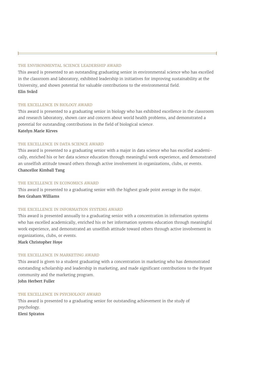#### THE ENVIRONMENTAL SCIENCE LEADERSHIP AWARD

This award is presented to an outstanding graduating senior in environmental science who has excelled in the classroom and laboratory, exhibited leadership in initiatives for improving sustainability at the University, and shown potential for valuable contributions to the environmental field. Elin Svärd

#### THE EXCELLENCE IN BIOLOGY AWARD

This award is presented to a graduating senior in biology who has exhibited excellence in the classroom and research laboratory, shown care and concern about world health problems, and demonstrated a potential for outstanding contributions in the field of biological science. Katelyn Marie Kirves

#### THE EXCELLENCE IN DATA SCIENCE AWARD

This award is presented to a graduating senior with a major in data science who has excelled academically, enriched his or her data science education through meaningful work experience, and demonstrated an unselfish attitude toward others through active involvement in organizations, clubs, or events. Chancellor Kimball Tang

#### THE EXCELLENCE IN ECONOMICS AWARD

This award is presented to a graduating senior with the highest grade point average in the major. Ben Graham Williams

#### THE EXCELLENCE IN INFORMATION SYSTEMS AWARD

This award is presented annually to a graduating senior with a concentration in information systems who has excelled academically, enriched his or her information systems education through meaningful work experience, and demonstrated an unselfish attitude toward others through active involvement in organizations, clubs, or events.

Mark Christopher Hoye

#### THE EXCELLENCE IN MARKETING AWARD

This award is given to a student graduating with a concentration in marketing who has demonstrated outstanding scholarship and leadership in marketing, and made significant contributions to the Bryant community and the marketing program.

John Herbert Fuller

#### THE EXCELLENCE IN PSYCHOLOGY AWARD

This award is presented to a graduating senior for outstanding achievement in the study of psychology. Eleni Spiratos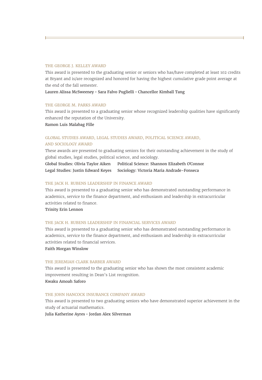#### THE GEORGE I. KELLEY AWARD

This award is presented to the graduating senior or seniors who has/have completed at least 102 credits at Bryant and is/are recognized and honored for having the highest cumulative grade point average at the end of the fall semester.

Lauren Alissa McSweeney • Sara Falvo Puglielli • Chancellor Kimball Tang

#### THE GEORGE M. PARKS AWARD

This award is presented to a graduating senior whose recognized leadership qualities have significantly enhanced the reputation of the University.

Ramon Luis Malabag Fille

#### GLOBAL STUDIES AWARD, LEGAL STUDIES AWARD, POLITICAL SCIENCE AWARD, AND SOCIOLOGY AWARD

These awards are presented to graduating seniors for their outstanding achievement in the study of global studies, legal studies, political science, and sociology.

Global Studies: Olivia Taylor Aiken Political Science: Shannon Elizabeth O�Connor Legal Studies: Justin Edward Keyes Sociology: Victoria Maria Andrade-Fonseca

#### THE JACK H. RUBENS LEADERSHIP IN FINANCE AWARD

This award is presented to a graduating senior who has demonstrated outstanding performance in academics, service to the finance department, and enthusiasm and leadership in extracurricular activities related to finance.

Trinity Erin Lennon

#### THE JACK H. RUBENS LEADERSHIP IN FINANCIAL SERVICES AWARD

This award is presented to a graduating senior who has demonstrated outstanding performance in academics, service to the finance department, and enthusiasm and leadership in extracurricular activities related to financial services.

Faith Morgan Winslow

#### THE JEREMIAH CLARK BARBER AWARD

This award is presented to the graduating senior who has shown the most consistent academic improvement resulting in Dean's List recognition. Kwaku Amoah Saforo

#### THE JOHN HANCOCK INSURANCE COMPANY AWARD

This award is presented to two graduating seniors who have demonstrated superior achievement in the study of actuarial mathematics.

Julia Katherine Ayres • Jordan Alex Silverman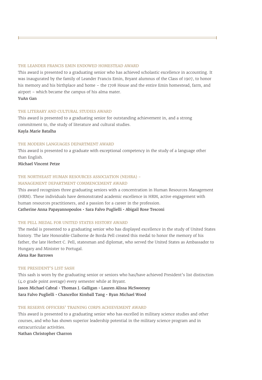#### THE LEANDER FRANCIS EMIN ENDOWED HOMESTEAD AWARD

This award is presented to a graduating senior who has achieved scholastic excellence in accounting. It was inaugurated by the family of Leander Francis Emin, Bryant alumnus of the Class of 1907, to honor his memory and his birthplace and home – the 1708 House and the entire Emin homestead, farm, and airport – which became the campus of his alma mater.

#### YuAn Gan

#### THE LITERARY AND CULTURAL STUDIES AWARD

This award is presented to a graduating senior for outstanding achievement in, and a strong commitment to, the study of literature and cultural studies. Kayla Marie Batalha

#### THE MODERN LANGUAGES DEPARTMENT AWARD

This award is presented to a graduate with exceptional competency in the study of a language other than English.

Michael Vincent Petze

#### THE NORTHEAST HUMAN RESOURCES ASSOCIATION (NEHRA) - MANAGEMENT DEPARTMENT COMMENCEMENT AWARD

This award recognizes three graduating seniors with a concentration in Human Resources Management (HRM). These individuals have demonstrated academic excellence in HRM, active engagement with human resources practitioners, and a passion for a career in the profession. Catherine Anna Papayannopoulos • Sara Falvo Puglielli • Abigail Rose Tesconi

#### THE PELL MEDAL FOR UNITED STATES HISTORY AWARD

The medal is presented to a graduating senior who has displayed excellence in the study of United States history. The late Honorable Claiborne de Borda Pell created this medal to honor the memory of his father, the late Herbert C. Pell, statesman and diplomat, who served the United States as Ambassador to Hungary and Minister to Portugal.

Alexa Rae Barrows

#### THE PRESIDENT'S LIST SASH

This sash is worn by the graduating senior or seniors who has/have achieved President's list distinction (4.0 grade point average) every semester while at Bryant.

Jason Michael Cabral • Thomas J. Galligan • Lauren Alissa McSweeney Sara Falvo Puglielli • Chancellor Kimball Tang • Ryan Michael Wood

#### THE RESERVE OFFICERS' TRAINING CORPS ACHIEVEMENT AWARD

This award is presented to a graduating senior who has excelled in military science studies and other courses, and who has shown superior leadership potential in the military science program and in extracurricular activities.

Nathan Christopher Charron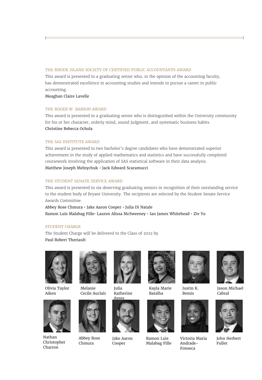#### THE RHODE ISLAND SOCIETY OF CERTIFIED PUBLIC ACCOUNTANTS AWARD

This award is presented to a graduating senior who, in the opinion of the accounting faculty, has demonstrated excellence in accounting studies and intends to pursue a career in public accounting.

Meaghan Claire Lavelle

#### THE ROGER W. BABSON AWARD

This award is presented to a graduating senior who is distinguished within the University community for his or her character, orderly mind, sound judgment, and systematic business habits. Christine Rebecca Ochola

#### THE SAS INSTITUTE AWARD

This award is presented to two bachelor's degree candidates who have demonstrated superior achievement in the study of applied mathematics and statistics and have successfully completed coursework involving the application of SAS statistical software in their data analysis. Matthew Joseph Melnychuk • Jack Edward Scaramucci

#### THE STUDENT SENATE SERVICE AWARD

This award is presented to six deserving graduating seniors in recognition of their outstanding service to the student body of Bryant University. The recipients are selected by the Student Senate Service Awards Committee.

Abbey Rose Chmura • Jake Aaron Cooper • Julia Di Natale Ramon Luis Malabag Fille• Lauren Alissa McSweeney • Ian James Whitehead • Ziv Yu

#### STUDENT CHARGE

The Student Charge will be delivered to the Class of 2022 by Paul Robert Theriault



Olivia Taylor Aiken



Nathan Christopher Charron



Melanie Cecile Auclair



Abbey Rose Chmura



Julia Katherine



Jake Aaron Cooper



Kayla Marie Batalha



Ramon Luis Malabag Fille



Bemis



Victoria Maria Andrade-Fonseca



Jason Michael Cabral



John Herbert Fuller

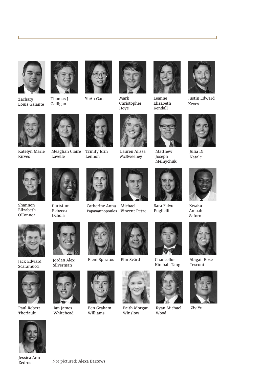

ŀ

Zachary Louis Galante



Galligan





Christopher Hoye



Leanne Elizabeth Kendall



÷,



Julia Di Natale



Kwaku Amoah Saforo



Abigail Rose Tesconi



Ziv Yu



Katelyn Marie Kirves

Shannon Elizabeth O'Connor





Meaghan Claire Lavelle



Trinity Erin Lennon



Lauren Alissa McSweeney





Matthew Joseph Melnychuk

Sara Falvo Puglielli



Kimball Tang



Wood



Faith Morgan



Jordan Alex Silverman



Jack Edward Scaramucci

Paul Robert Theriault



Ian James Whitehead



Eleni Spiratos Elin Svärd Chancellor



Ben Graham Williams



Elin Svärd





Winslow

Jessica Ann



Papayannopoulos Vincent Petze Michael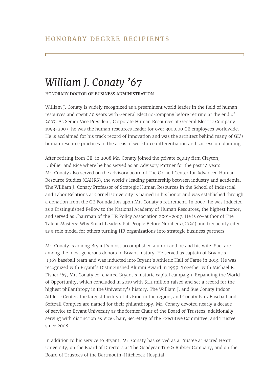## *William J. Conaty '67*

HONORARY DOCTOR OF BUSINESS ADMINISTRATION

William J. Conaty is widely recognized as a preeminent world leader in the field of human resources and spent 40 years with General Electric Company before retiring at the end of 2007. As Senior Vice President, Corporate Human Resources at General Electric Company 1993-2007, he was the human resources leader for over 300,000 GE employees worldwide. He is acclaimed for his track record of innovation and was the architect behind many of GE's human resource practices in the areas of workforce differentiation and succession planning.

After retiring from GE, in 2008 Mr. Conaty joined the private equity firm Clayton, Dubilier and Rice where he has served as an Advisory Partner for the past 14 years. Mr. Conaty also served on the advisory board of The Cornell Center for Advanced Human Resource Studies (CAHRS), the world's leading partnership between industry and academia. The William J. Conaty Professor of Strategic Human Resources in the School of Industrial and Labor Relations at Cornell University is named in his honor and was established through a donation from the GE Foundation upon Mr. Conaty's retirement. In 2007, he was inducted as a Distinguished Fellow to the National Academy of Human Resources, the highest honor, and served as Chairman of the HR Policy Association 2001-2007. He is co-author of The Talent Masters: Why Smart Leaders Put People Before Numbers (2020) and frequently cited as a role model for others turning HR organizations into strategic business partners.

Mr. Conaty is among Bryant's most accomplished alumni and he and his wife, Sue, are among the most generous donors in Bryant history. He served as captain of Bryant's 1967 baseball team and was inducted into Bryant's Athletic Hall of Fame in 2013. He was recognized with Bryant's Distinguished Alumni Award in 1999. Together with Michael E. Fisher '67, Mr. Conaty co-chaired Bryant's historic capital campaign, Expanding the World of Opportunity, which concluded in 2019 with \$111 million raised and set a record for the highest philanthropy in the University's history. The William J. and Sue Conaty Indoor Athletic Center, the largest facility of its kind in the region, and Conaty Park Baseball and Softball Complex are named for their philanthropy. Mr. Conaty devoted nearly a decade of service to Bryant University as the former Chair of the Board of Trustees, additionally serving with distinction as Vice Chair, Secretary of the Executive Committee, and Trustee since 2008.

In addition to his service to Bryant, Mr. Conaty has served as a Trustee at Sacred Heart University, on the Board of Directors at The Goodyear Tire & Rubber Company, and on the Board of Trustees of the Dartmouth-Hitchcock Hospital.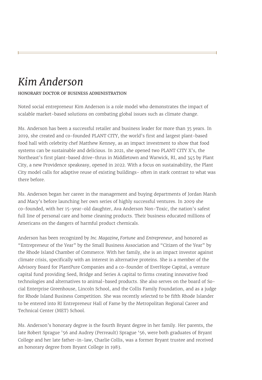## *Kim Anderson*

#### HONORARY DOCTOR OF BUSINESS ADMINISTRATION

Noted social entrepreneur Kim Anderson is a role model who demonstrates the impact of scalable market-based solutions on combating global issues such as climate change.

Ms. Anderson has been a successful retailer and business leader for more than 35 years. In 2019, she created and co-founded PLANT CITY, the world's first and largest plant-based food hall with celebrity chef Matthew Kenney, as an impact investment to show that food systems can be sustainable and delicious. In 2021, she opened two PLANT CITY X's, the Northeast's first plant-based drive-thrus in Middletown and Warwick, RI, and 345 by Plant City, a new Providence speakeasy, opened in 2022. With a focus on sustainability, the Plant City model calls for adaptive reuse of existing buildings- often in stark contrast to what was there before.

Ms. Anderson began her career in the management and buying departments of Jordan Marsh and Macy's before launching her own series of highly successful ventures. In 2009 she co-founded, with her 15-year-old daughter, Ava Anderson Non-Toxic, the nation's safest full line of personal care and home cleaning products. Their business educated millions of Americans on the dangers of harmful product chemicals.

Anderson has been recognized by *Inc. Magazine, Fortune* and *Entrepreneur*, and honored as "Entrepreneur of the Year" by the Small Business Association and "Citizen of the Year" by the Rhode Island Chamber of Commerce. With her family, she is an impact investor against climate crisis, specifically with an interest in alternative proteins. She is a member of the Advisory Board for PlantPure Companies and a co-founder of EverHope Capital, a venture capital fund providing Seed, Bridge and Series A capital to firms creating innovative food technologies and alternatives to animal-based products. She also serves on the board of Social Enterprise Greenhouse, Lincoln School, and the Collis Family Foundation, and as a judge for Rhode Island Business Competition. She was recently selected to be fifth Rhode Islander to be entered into RI Entrepreneur Hall of Fame by the Metropolitan Regional Career and Technical Center (MET) School.

Ms. Anderson's honorary degree is the fourth Bryant degree in her family. Her parents, the late Robert Sprague '56 and Audrey (Perreault) Sprague '56, were both graduates of Bryant College and her late father-in-law, Charlie Collis, was a former Bryant trustee and received an honorary degree from Bryant College in 1983.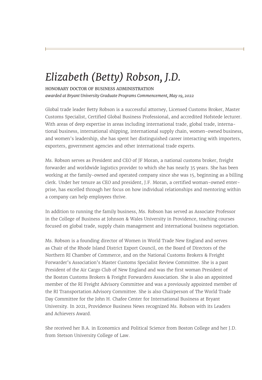## *Elizabeth (Betty) Robson, J.D.*

HONORARY DOCTOR OF BUSINESS ADMINISTRATION *awarded at Bryant University Graduate Programs Commencement, May 19, 2022*

Global trade leader Betty Robson is a successful attorney, Licensed Customs Broker, Master Customs Specialist, Certified Global Business Professional, and accredited Hofstede lecturer. With areas of deep expertise in areas including international trade, global trade, international business, international shipping, international supply chain, women-owned business, and women's leadership, she has spent her distinguished career interacting with importers, exporters, government agencies and other international trade experts.

Ms. Robson serves as President and CEO of JF Moran, a national customs broker, freight forwarder and worldwide logistics provider to which she has nearly 35 years. She has been working at the family-owned and operated company since she was 15, beginning as a billing clerk. Under her tenure as CEO and president, J.F. Moran, a certified woman-owned enterprise, has excelled through her focus on how individual relationships and mentoring within a company can help employees thrive.

In addition to running the family business, Ms. Robson has served as Associate Professor in the College of Business at Johnson & Wales University in Providence, teaching courses focused on global trade, supply chain management and international business negotiation.

Ms. Robson is a founding director of Women in World Trade New England and serves as Chair of the Rhode Island District Export Council, on the Board of Directors of the Northern RI Chamber of Commerce, and on the National Customs Brokers & Freight Forwarder's Association's Master Customs Specialist Review Committee. She is a past President of the Air Cargo Club of New England and was the first woman President of the Boston Customs Brokers & Freight Forwarders Association. She is also an appointed member of the RI Freight Advisory Committee and was a previously appointed member of the RI Transportation Advisory Committee. She is also Chairperson of The World Trade Day Committee for the John H. Chafee Center for International Business at Bryant University. In 2021, Providence Business News recognized Ms. Robson with its Leaders and Achievers Award.

She received her B.A. in Economics and Political Science from Boston College and her J.D. from Stetson University College of Law.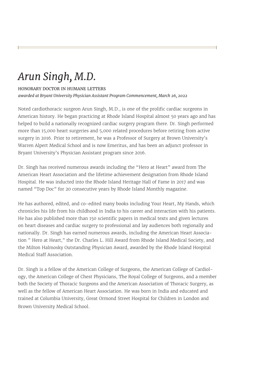## *Arun Singh, M.D.*

### HONORARY DOCTOR IN HUMANE LETTERS

*awarded at Bryant University Physician Assistant Program Commencement, March 26, 2022*

Noted cardiothoracic surgeon Arun Singh, M.D., is one of the prolific cardiac surgeons in American history. He began practicing at Rhode Island Hospital almost 50 years ago and has helped to build a nationally recognized cardiac surgery program there. Dr. Singh performed more than 15,000 heart surgeries and 5,000 related procedures before retiring from active surgery in 2016. Prior to retirement, he was a Professor of Surgery at Brown University's Warren Alpert Medical School and is now Emeritus, and has been an adjunct professor in Bryant University's Physician Assistant program since 2016.

Dr. Singh has received numerous awards including the "Hero at Heart" award from The American Heart Association and the lifetime achievement designation from Rhode Island Hospital. He was inducted into the Rhode Island Heritage Hall of Fame in 2017 and was named "Top Doc" for 20 consecutive years by Rhode Island Monthly magazine.

He has authored, edited, and co-edited many books including Your Heart, My Hands, which chronicles his life from his childhood in India to his career and interaction with his patients. He has also published more than 150 scientific papers in medical texts and given lectures on heart diseases and cardiac surgery to professional and lay audiences both regionally and nationally. Dr. Singh has earned numerous awards, including the American Heart Association " Hero at Heart," the Dr. Charles L. Hill Award from Rhode Island Medical Society, and the Milton Halmosky Outstanding Physician Award, awarded by the Rhode Island Hospital Medical Staff Association.

Dr. Singh is a fellow of the American College of Surgeons, the American College of Cardiology, the American College of Chest Physicians, The Royal College of Surgeons, and a member both the Society of Thoracic Surgeons and the American Association of Thoracic Surgery, as well as the fellow of American Heart Association. He was born in India and educated and trained at Columbia University, Great Ormond Street Hospital for Children in London and Brown University Medical School.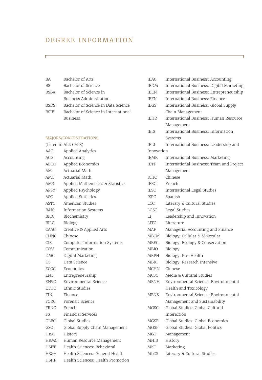## DEGREE INFORMATION

| BА          | Bachelor of Arts                     |
|-------------|--------------------------------------|
| <b>BS</b>   | Bachelor of Science                  |
| <b>BSBA</b> | Bachelor of Science in               |
|             | Business Administration              |
| <b>BSDS</b> | Bachelor of Science in Data Science  |
| <b>BSIB</b> | Bachelor of Science in International |
|             | <b>Business</b>                      |

#### MAJORS/CONCENTRATIONS

|             | (listed in ALL CAPS)              |
|-------------|-----------------------------------|
| AAC         | Applied Analytics                 |
| ACG         | Accounting                        |
| AECO        | Applied Economics                 |
| AM          | Actuarial Math                    |
| AMC         | Actuarial Math                    |
| AMS         | Applied Mathematics & Statistics  |
| APSY        | Applied Psychology                |
| ASC.        | Applied Statistics                |
| ASTC        | American Studies                  |
| <b>BAIS</b> | Information Systems               |
| <b>BICC</b> | Biochemistry                      |
| <b>BILC</b> | Biology                           |
| CAAC        | Creative & Applied Arts           |
| <b>CHNC</b> | Chinese                           |
| CIS         | Computer Information Systems      |
| COM         | Communication                     |
| <b>DMC</b>  | Digital Marketing                 |
| DS          | Data Science                      |
| ECOC        | Economics                         |
| <b>ENT</b>  | Entrepreneurship                  |
| <b>ENVC</b> | Environmental Science             |
| <b>ETHC</b> | Ethnic Studies                    |
| <b>FIN</b>  | Finance                           |
| FORC        | Forensic Science                  |
| <b>FRNC</b> | French                            |
| FS          | <b>Financial Services</b>         |
| <b>GLBC</b> | Global Studies                    |
| GSC         | Global Supply Chain Management    |
| HISC        | History                           |
| HRMC        | Human Resource Management         |
| <b>HSBT</b> | Health Sciences: Behavioral       |
| HSGH        | Health Sciences: General Health   |
| HSHP        | Health Sciences: Health Promotion |

| IBAC        | International Business: Accounting        |
|-------------|-------------------------------------------|
| <b>IBDM</b> | International Business: Digital Marketing |
| IBEN        | International Business: Entrepreneurship  |
| IBFN        | International Business: Finance           |
| IBGS        | International Business: Global Supply     |
|             | Chain Management                          |
| IBHR        | International Business: Human Resource    |
|             | Management                                |
| IBIS        | International Business: Information       |
|             | Systems                                   |
| IBLI        | International Business: Leadership and    |
| Innovation  |                                           |
| IBMK        | International Business: Marketing         |
| IBTP        | International Business: Team and Project  |
|             | Management                                |
| ICHC        | Chinese                                   |
| IFRC        | French                                    |
| ILSC        | International Legal Studies               |
| ISPC        | Spanish                                   |
| LCC         | Literary & Cultural Studies               |
| LGSC        | Legal Studies                             |
| LI          | Leadership and Innovation                 |
| LITC        | Literature                                |
| MAF         | Managerial Accounting and Finance         |
| <b>MBCM</b> | Biology: Cellular & Molecular             |
| MBEC        | Biology: Ecology & Conservation           |
| MBIO        | Biology                                   |
| MBPH        | Biology: Pre-Health                       |
| MBRI        | Biology: Research Intensive               |
| <b>MCHN</b> | Chinese                                   |
| <b>MCSC</b> | Media & Cultural Studies                  |
| MENH        | Environmental Science: Environmental      |
|             | Health and Toxicology                     |
| <b>MENS</b> | Environmental Science: Environmental      |
|             | Management and Sustainability             |
| MGSC        | Global Studies: Global Cultural           |
|             | Interaction                               |
| MGSE        | Global Studies: Global Economics          |
| MGSP        | Global Studies: Global Politics           |
| MGT         | Management                                |
| MHIS        | History                                   |
| MKT         | Marketing                                 |
| MLCS        | Literary & Cultural Studies               |
|             |                                           |

Ë,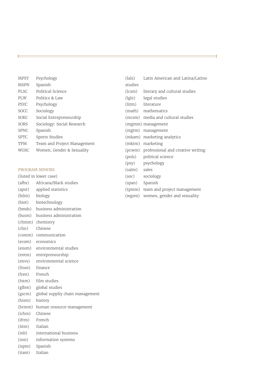| <b>MPSY</b> | Psychology                  |
|-------------|-----------------------------|
| <b>MSPN</b> | Spanish                     |
| PLSC        | Political Science           |
| PLW         | Politics & Law              |
| <b>PSYC</b> | Psychology                  |
| <b>SOCC</b> | Sociology                   |
| <b>SOEC</b> | Social Entrepreneurship     |
| SORS        | Sociology: Social Research  |
| <b>SPNC</b> | Spanish                     |
| <b>SPTC</b> | Sports Studies              |
| <b>TPM</b>  | Team and Project Management |
| WGSC        | Women, Gender & Sexuality   |

#### PROGRAM MINORS

(listed in lower case)

- (afbs) Africana/Black studies
- (apst) applied statistics
- (bilm) biology
- (biot) biotechnology
- (bmds) business administration
- (busm) business administration
- (chmm) chemistry
- (chn) Chinese
- (comm) communication
- (ecom) economics
- (ensm) environmental studies
- (entm) entrepreneurship
- (envs) environmental science
- (finm) finance
- (fren) French
- (fstm) film studies
- (glbm) global studies
- (gscm) global suppliy chain management
- (hism) history
- (hrmm) human resource management
- (ichm) Chinese
- (ifrm) French
- (iitm) Italian
- (inb) international business
- (ism) information systems
- (ispm) Spanish
- (itam) Italian

| studies        |                                          |
|----------------|------------------------------------------|
| (lcsm)         | literary and cultural studies            |
|                | (lgls) legal studies                     |
|                | (litm) literature                        |
|                | (math) mathematics                       |
|                | (mcsm) media and cultural studies        |
|                | (mgmm) management                        |
|                | (mgtm) management                        |
|                | (mkam) marketing analytics               |
|                | (mktm) marketing                         |
|                | (pcwm) professional and creative writing |
|                | (pols) political science                 |
|                | (psy) psychology                         |
| (salm) sales   |                                          |
| (soc)          | sociology                                |
| (span) Spanish |                                          |
|                | (tpmm) team and project management       |
|                |                                          |

(lals) Latin American and Latina/Latino

(wgsm) women, gender and sexuality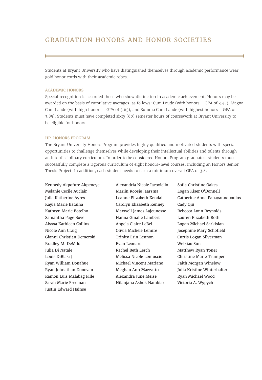Students at Bryant University who have distinguished themselves through academic performance wear gold honor cords with their academic robes.

#### ACADEMIC HONORS

Special recognition is accorded those who show distinction in academic achievement. Honors may be awarded on the basis of cumulative averages, as follows: Cum Laude (with honors – GPA of 3.45), Magna Cum Laude (with high honors – GPA of 3.65), and Summa Cum Laude (with highest honors – GPA of 3.85). Students must have completed sixty (60) semester hours of coursework at Bryant University to be eligible for honors.

#### HP HONORS PROGRAM

The Bryant University Honors Program provides highly qualified and motivated students with special opportunities to challenge themselves while developing their intellectual abilities and talents through an interdisciplinary curriculum. In order to be considered Honors Program graduates, students must successfully complete a rigorous curriculum of eight honors-level courses, including an Honors Senior Thesis Project. In addition, each student needs to earn a minimum overall GPA of 3.4.

Kennedy Akpofure Akpeneye Melanie Cecile Auclair Julia Katherine Ayres Kayla Marie Batalha Kathryn Marie Botelho Samantha Page Bove Alyssa Kathleen Collins Nicole Ann Craig Gianni Christian Demerski Bradley M. DeMild Julia Di Natale Louis DiBlasi Jr Ryan William Donahue Ryan Johnathan Donovan Ramon Luis Malabag Fille Sarah Marie Freeman Justin Edward Hainse

Alexandria Nicole Iacoviello Marijn Koosje Jaarsma Leanne Elizabeth Kendall Carolyn Elizabeth Kenney Maxwell James Lajeunesse Hanna Ginalle Lambert Angela Claire LeBel Olivia Michele Lemire Trinity Erin Lennon Evan Leonard Rachel Beth Lerch Melissa Nicole Lomuscio Michael Vincent Mariano Meghan Ann Mazzatto Alexandra June Meise Nilanjana Ashok Nambiar

Sofia Christine Oakes Logan Kiser O'Donnell Catherine Anna Papayannopoulos Cady Qiu Rebecca Lynn Reynolds Lauren Elizabeth Roth Logan Michael Sarkisian Josephine Mary Schofield Curtis Logan Silverman Weixiao Sun Matthew Ryan Toner Christine Marie Trumper Faith Morgan Winslow Julia Kristine Winterhalter Ryan Michael Wood Victoria A. Wypych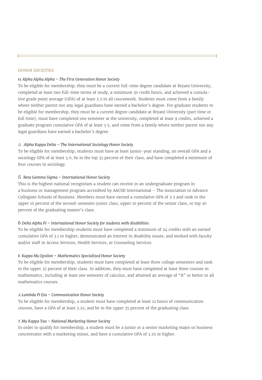#### HONOR SOCIETIES

#### α *Alpha Alpha Alpha – The First Generation Honor Society*

To be eligible for membership, they must be a current full-time degree candidate at Bryant University, completed at least two full-time terms of study, a minimum 30 credit hours, and achieved a cumulative grade point average (GPA) of at least 3.2 in all coursework. Students must come from a family where neither parent nor any legal guardians have earned a bachelor's degree. For graduate students to be eligible for membership, they must be a current degree candidate at Bryant University (part time or full time), must have completed one semester at the university, completed at least 9 credits, achieved a graduate program cumulative GPA of at least 3.5, and come from a family where neither parent nor any legal guardians have earned a bachelor's degree.

#### Δ *Alpha Kappa Delta – The International Sociology Honor Society*

To be eligible for membership, students must have at least junior-year standing, an overall GPA and a sociology GPA of at least 3.0, be in the top 35 percent of their class, and have completed a minimum of four courses in sociology.

#### ß *Beta Gamma Sigma – International Honor Society*

This is the highest national recognition a student can receive in an undergraduate program in a business or management program accredited by AACSB International – The Association to Advance Collegiate Schools of Business. Members must have earned a cumulative GPA of 3.5 and rank in the upper 10 percent of the second-semester junior class, upper 10 percent of the senior class, or top 20 percent of the graduating master's class.

#### δ *Delta Alpha Pi – International Honor Society for students with disabilities*

To be eligible for membership students must have completed a minimum of 24 credits with an earned cumulative GPA of 3.1 or higher, demonstrated an interest in disability issues, and worked with faculty and/or staff in Access Services, Health Services, or Counseling Services.

#### ε *Kappa Mu Epsilon – Mathematics Specialized Honor Society*

To be eligible for membership, students must have completed at least three college semesters and rank in the upper 35 percent of their class. In addition, they must have completed at least three courses in mathematics, including at least one semester of calculus, and attained an average of "B" or better in all mathematics courses.

#### Λ *Lambda Pi Eta – Communication Honor Society*

To be eligible for membership, a student must have completed at least 12 hours of communication courses, have a GPA of at least 3.25, and be in the upper 35 percent of the graduating class.

#### Τ *Mu Kappa Tau – National Marketing Honor Society*

In order to qualify for membership, a student must be a junior or a senior marketing major or business concentrator with a marketing minor, and have a cumulative GPA of 3.25 or higher.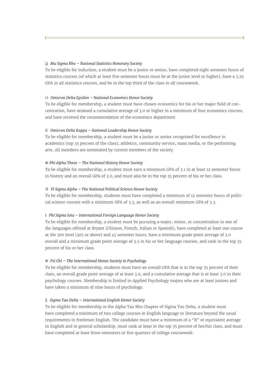#### µ *Mu Sigma Rho – National Statistics Honorary Society*

To be eligible for induction, a student must be a junior or senior, have completed eight semester hours of statistics courses (of which at least five semester hours must be at the junior level or higher), have a 3.25 GPA in all statistics courses, and be in the top third of the class in all coursework.

#### O *Omicron Delta Epsilon – National Economics Honor Society*

To be eligible for membership, a student must have chosen economics for his or her major field of concentration, have attained a cumulative average of 3.0 or higher in a minimum of four economics courses, and have received the recommendation of the economics department.

#### K *Omicron Delta Kappa – National Leadership Honor Society*

To be eligible for membership, a student must be a junior or senior recognized for excellence in academics (top 35 percent of the class), athletics, community service, mass media, or the performing arts. All members are nominated by current members of the society.

#### Φ *Phi Alpha Theta – The National History Honor Society*

To be eligible for membership, a student must earn a minimum GPA of 3.1 in at least 12 semester hours in history and an overall GPA of 3.0, and must also be in the top 35 percent of his or her class.

#### π *Pi Sigma Alpha – The National Political Science Honor Society*

To be eligible for membership, students must have completed a minimum of 12 semester hours of political science courses with a minimum GPA of 3.3, as well as an overall minimum GPA of 3.3.

#### Ι *Phi Sigma Iota – International Foreign Language Honor Society*

To be eligible for membership, a student must be pursuing a major, minor, or concentration in one of the languages offered at Bryant (Chinese, French, Italian or Spanish), have completed at least one course at the 300 level (305 or above) and 45 semester hours, have a minimum grade point average of 3.0 overall and a minimum grade point average of 3.5 in his or her language courses, and rank in the top 35 percent of his or her class.

#### Ψ *Psi Chi – The International Honor Society in Psychology*

To be eligible for membership, students must have an overall GPA that is in the top 35 percent of their class, an overall grade point average of at least 3.0, and a cumulative average that is at least 3.0 in their psychology courses. Membership is limited to Applied Psychology majors who are at least juniors and have taken a minimum of nine hours of psychology.

#### Σ *Sigma Tau Delta – International English Honor Society*

To be eligible for membership in the Alpha Tau Rho Chapter of Sigma Tau Delta, a student must have completed a minimum of two college courses in English language or literature beyond the usual requirements in freshman English. The candidate must have a minimum of a "B" or equivalent average in English and in general scholarship, must rank at least in the top 35 percent of her/his class, and must have completed at least three semesters or five quarters of college coursework.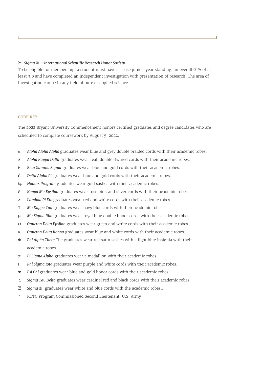#### Ξ *Sigma Xi – International Scientific Research Honor Society*

To be eligible for membership, a student must have at lease junior-year standing, an overall GPA of at least 3.0 and have completed an independent investigation with presentation of research. The area of investigation can be in any field of pure or applied science.

#### CODE KEY

The 2022 Bryant University Commencement honors certified graduates and degree candidates who are scheduled to complete coursework by August 5, 2022.

- α *Alpha Alpha Alpha* graduates wear blue and grey double braided cords with their academic robes.
- Δ *Alpha Kappa Delta* graduates wear teal, double-twined cords with their academic robes.
- ß *Beta Gamma Sigma* graduates wear blue and gold cords with their academic robes.
- δ *Delta Alpha Pi* graduates wear blue and gold cords with their academic robes.
- *hp Honors Program* graduates wear gold sashes with their academic robes.
- ε *Kappa Mu Epsilon* graduates wear rose pink and silver cords with their academic robes.
- Λ *Lambda Pi Eta* graduates wear red and white cords with their academic robes.
- Τ *Mu Kappa Tau* graduates wear navy blue cords with their academic robes.
- µ *Mu Sigma Rho* graduates wear royal blue double honor cords with their academic robes.
- O *Omicron Delta Epsilon* graduates wear green and white cords with their academic robes.
- K *Omicron Delta Kappa* graduates wear blue and white cords with their academic robes.
- Φ *Phi Alpha Theta* The graduates wear red satin sashes with a light blue insignia with their academic robes
- π *Pi Sigma Alpha* graduates wear a medallion with their academic robes.
- Ι *Phi Sigma Iota* graduates wear purple and white cords with their academic robes.
- Ψ *Psi Chi* graduates wear blue and gold honor cords with their academic robes.
- Σ *Sigma Tau Delta* graduates wear cardinal red and black cords with their academic robes.
- Ξ *Sigma Xi* graduates wear white and blue cords with the academic robes..
- \* ROTC Program Commissioned Second Lieutenant, U.S. Army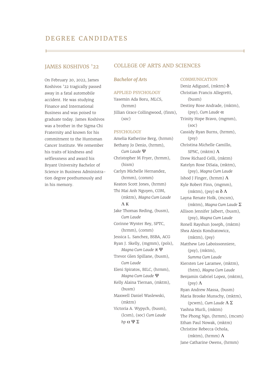On February 20, 2022, James Koshivos '22 tragically passed away in a fatal automobile accident. He was studying Finance and International Business and was poised to graduate today. James Koshivos was a brother in the Sigma Chi Fraternity and known for his commitment to the Huntsman Cancer Institute. We remember his traits of kindness and selflessness and award his Bryant University Bachelor of Science in Business Administration degree posthumously and in his memory.

#### JAMES KOSHIVOS '22 COLLEGE OF ARTS AND SCIENCES

#### *Bachelor of Arts*

#### APPLIED PSYCHOLOGY

Yasemin Ada Boru, MLCS, (hrmm) Jillian Grace Collingwood, (finm), (soc)

#### PSYCHOLOGY

Amelia Katherine Berg, (hrmm) Bethany Jo Denio, (hrmm), *Cum Laude* Ψ Christopher M Fryer, (hrmm), (hism) Carlyn Michelle Hernandez, (hrmm), (comm) Keaton Scott Jones, (hrmm) Thi Mai Anh Nguyen, COM, (mktm), *Magna Cum Laude* Λ K Jake Thomas Reding, (busm), *Cum Laude* Corinne Wynter Rey, SPTC, (hrmm), (comm) Jessica L. Sanchez, BSBA, ACG Ryan J. Skelly, (mgmm), (pols), *Magna Cum Laude* π Ψ Trevor Glen Spillane, (busm), *Cum Laude* Eleni Spiratos, BILC, (hrmm), *Magna Cum Laude* Ψ Kelly Alaina Tiernan, (mktm), (busm) Maxwell Daniel Waslewski, (mktm) Victoria A. Wypych, (busm), (lcsm), (soc) *Cum Laude hp* α Ψ Σ

#### **COMMUNICATION**

Deniz Adiguzel, (mktm)  $\delta$ Christian Francis Allegretti, (busm) Destiny Rose Andrade, (mktm), (psy), *Cum Laude* α Trinity Hope Bravo, (mgmm), (soc) Cassidy Ryan Burns, (hrmm), (psy) Christina Michelle Camillo, SPNC, (mktm) Λ Drew Richard Celli, (mktm) Katelyn Rose DiSaia, (mktm), (psy), *Magna Cum Laude* Ishod J Finger, (hrmm) Λ Kyle Robert Finn, (mgmm), (mktm), (psy)  $\alpha \delta \Lambda$ Layna Renate Holk, (mcsm), (mktm), *Magna Cum Laude* Σ Allison Jennifer Jalbert, (busm), (psy), *Magna Cum Laude* Ronell Rayshun Joseph, (mktm) Shea Alexis Kondratowicz, (mktm), (psy) Matthew Leo Laboissonniere, (psy), (mktm), *Summa Cum Laude* Kiersten Lee Laramee, (mktm), (fstm), *Magna Cum Laude* Benjamin Gabriel Lopez, (mktm), (psy) Λ Ryan Andrew Massa, (busm) Maria Brooke Munschy, (mktm), (pcwm), *Cum Laude* Λ Σ Yashna Murli, (mktm) The Phong Ngo, (hrmm), (mcsm) Ethan Paul Nowak, (mktm) Christine Rebecca Ochola, (mktm), (hrmm)  $\Lambda$ Jane Catharine Owens, (hrmm)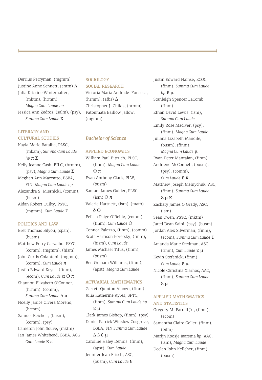Derrius Perryman, (mgmm) Justine Anne Sennett, (entm)  $\Lambda$ Julia Kristine Winterhalter, (mktm), (hrmm) *Magna Cum Laude hp* Jessica Ann Zedros, (salm), (psy), *Summa Cum Laude* K

#### LITERARY AND CULTURAL STUDIES

Kayla Marie Batalha, PLSC, (mkam), *Summa Cum Laude hp* π Σ Kelly Jeanne Cash, BILC, (hrmm), (psy), *Magna Cum Laude* Σ Meghan Ann Mazzatto, BSBA, FIN, *Magna Cum Laude hp* Alexandra S. Miernicki, (comm), (busm) Aidan Robert Quilty, PSYC, (mgmm), *Cum Laude* Σ

#### POLITICS AND LAW

Bret Thomas Bilyou, (span), (busm) Matthew Perry Carvalho, PSYC, (comm), (mgmm), (hism) John Curtis Colantoni, (mgmm), (comm), *Cum Laude* π Justin Edward Keyes, (finm), (ecom), *Cum Laude* α O π Shannon Elizabeth O'Connor, (hrmm), (comm), *Summa Cum Laude* Δ π Noelly Janice Olvera Moreno, (hrmm) Samuel Reichelt, (busm), (comm), (psy) Cameron John Souve, (mktm) Ian James Whitehead, BSBA, ACG *Cum Laude* K π

#### SOCIOLOGY SOCIAL RESEARCH

Victoria Maria Andrade-Fonseca, (hrmm), (afbs)  $\Delta$ Christopher J. Childs, (hrmm) Fatoumata Baillow Jallow, (mgmm)

#### *Bachelor of Science*

#### APPLIED ECONOMICS

William Paul Bittrich, PLSC, (finm), *Magna Cum Laude* Φ π Evan Anthony Clark, PLW, (busm) Samuel James Guider, PLSC,  $(i\text{sm})$  O  $\pi$ Valerie Hartnett, (ism), (math) δ O Felicia Paige O'Reilly, (comm), (finm), *Cum Laude* O Connor Palazzo, (finm), (comm) Scott Harrison Poretsky, (finm), (hism), *Cum Laude* James Michael Titus, (finm), (busm) Ben Graham Williams, (finm), (apst), *Magna Cum Laude* 

#### ACTUARIAL MATHEMATICS

Garrett Quinton Alonzo, (finm) Julia Katherine Ayres, SPTC, (finm), *Summa Cum Laude hp* ε µ Clark James Bishop, (finm), (psy) Daniel Patrick Winslow Cosgrove, BSBA, FIN *Summa Cum Laude*  Δ ß ε µ Caroline Haley Dennis, (finm), (apst), *Cum Laude* Jennifer Jean Frisch, ASC, (busm), *Cum Laude* ε

Justin Edward Hainse, ECOC, (finm), *Summa Cum Laude hp* ε µ Stanleigh Spencer LaComb, (finm) Ethan David Lewis, (ism), *Summa Cum Laude* Emily Rose MacIver, (psy), (finm), *Magna Cum Laude* Juliana Lizabeth Mandile, (busm), (finm), *Magna Cum Laude* µ Ryan Peter Mantaian, (finm) Andriene McConnell, (busm), (psy), (comm), *Cum Laude* ε <sup>K</sup> Matthew Joseph Melnychuk, ASC, (finm), *Summa Cum Laude* ε µ <sup>K</sup> Zachary James O'Grady, ASC, (ism) Sean Owen, PSYC, (mktm) Jared Dean Saini, (psy), (busm) Jordan Alex Silverman, (finm), (ecom), *Summa Cum Laude* ε Amanda Marie Stedman, ASC, (finm), *Cum Laude* ε µ Kevin Stefanick, (finm), *Cum Laude* ε μ Nicole Christina Xiarhos, AAC, (finm), *Summa Cum Laude* ε µ

#### APPLIED MATHEMATICS AND STATISTICS

Gregory M. Farrell Jr., (finm), (ecom) Samantha Claire Geller, (finm), (bilm) Marijn Koosje Jaarsma *hp*, AAC, (ism), *Magna Cum Laude* Declan John Kelleher, (finm), (busm)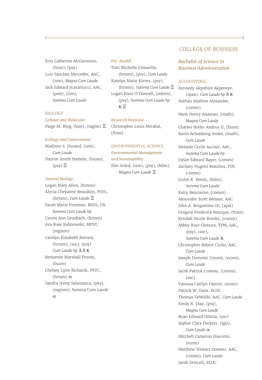Erin Catherine McGuinness, (finm), (psy) Luis Sanchez Mercedes, AAC, (ism), *Magna Cum Laude* Jack Edward Scaramucci, AAC, (pols), (ism), *Summa Cum Laude*

#### **BIOLOGY**

*Cellular and Molecular* Paige M. Ring, (biot), (mgtm) Ξ

#### *Ecology and Conservation*

Madison S. Durand, (ism), *Cum Laude* Dayton Smith Hamele, (busm), (psy) Ξ

#### *General Biology*

Logan Riley Allen, (hrmm) Alyvia Cheyanne Beaudion, PSYC, (hrmm), *Cum Laude* Ξ Sarah Marie Freeman, BSDS, DS, *Summa Cum Laude hp* Carsin Ann Gronbach, (hrmm) Ava Rose Kalinowski, MPSY, (mgmm) Carolyn Elizabeth Kenney, (hrmm), (soc), (psy) *Cum Laude hp* Δ δ K Benjamin Marshall Prouty, (busm) Chelsey Lynn Richards, PSYC, (hrmm) α Sandra Jenny Salamanca, (psy), (mgmm), Summa Cum Laude α

#### *Pre-Health*

Toni Michelle Camarillo, (hrmm), (psy), *Cum Laude* Katelyn Marie Kirves, (psy), (hrmm), *Summa Cum Laude* Ξ Logan Kiser O'Donnell, (mktm), (psy), *Summa Cum Laude hp* K Ξ

#### *Research Intensive*

Christopher Louis Mirabal, (finm)

ENVIRONMENTAL SCIENCE *Environmental Management and Sustainability*  Elin Svärd, (ism), (psy), (bilm), *Magna Cum Laude* Ξ

#### COLLEGE OF BUSINESS

#### *Bachelor of Science in Business Administration*

#### ACCOUNTING

Kennedy Akpofure Akpeneye, (span), *Cum Laude hp* δ K Nathan Mathew Alexander, (comm) Mark Henry Anastasi, (math), *Magna Cum Laude* Charles Butler Andrus II, (hism) Kevin Achankeng Aroke, (math), *Cum Laude* Melanie Cecile Auclair, AAC, *Summa Cum Laude hp* Dylan Edward Bayer, (comm) Zachary Nugent Beaulieu, FIN, (comm) Justin K. Bemis, (bilm), *Summa Cum Laude* Kairy Bencosme, (comm) Alexander Scott Benson, AAC John A. Bergantino III, (apst) Gregory Frederick Bourque, (hism) Kendall Nicole Brooks, (comm) Abbey Rose Chmura, TPM, AAC, (psy), (soc), *Summa Cum Laude* K Christopher Robert Ciullo, AAC, *Cum Laude* Joseph Domenic Corsini, (ecom), *Cum Laude* Jacob Patrick Croteau, (comm), (soc) Vanessa Caitlyn Dancer, (ecom) Patrick W. Dane, ECOC Thomas DeWolfe, AAC, *Cum Laude* Emily R. Diaz, (psy), *Magna Cum Laude* Ryan Edward DiNoia, (soc) Sophie Clara Dockter, (lgls), *Cum Laude* α Mitchell Cameron Doucette, (ecom) Matthew Stewart Downer, AAC, (comm), *Cum Laude* Jacob Driscoll, ECOC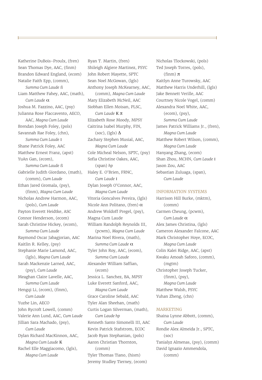Katherine DuBois-Proulx, (fren) Sean Thomas Dye, AAC, (finm) Brandon Edward England, (ecom) Natalie Faith Epp, (comm), *Summa Cum Laude* ß Liam Matthew Fahey, AAC, (math), *Cum Laude* α Joshua M. Fazzino, AAC, (psy) Julianna Rose Flaccavento, AECO, AAC, *Magna Cum Laude* Brendan Joseph Foley, (pols) Savannah Rae Foley, (chn), *Summa Cum Laude* Ι Shane Patrick Foley, AAC Matthew Ernest Franz, (apst) YuAn Gan, (ecom), *Summa Cum Laude* ß Gabrielle Judith Giordano, (math), (comm), *Cum Laude* Ethan Jared Gromala, (psy), (finm), *Magna Cum Laude* Nicholas Andrew Harmon, AAC, (pols), *Cum Laude* Payton Everett Heidtke, ASC Connor Henderson, (ecom) Sarah Christine Hickey, (ecom), *Summa Cum Laude* Raymond Oscar Jabagjorian, AAC Kaitlin R. Kelley, (psy) Stephanie Marie Lamond, AAC, (lgls), *Magna Cum Laude* Sarah Mackenzie Larned, AAC, (psy), *Cum Laude* Meaghan Claire Lavelle, AAC, *Summa Cum Laude* Hengqi Li, (ecom), (finm), *Cum Laude* Yuzhe Lin, AECO John Rycroft Lowell, (comm) Valerie Ann Lund, AAC, *Cum Laude* Jillian Sara Machado, (psy), *Cum Laude* Dylan Richard MacKinnon, AAC, *Magna Cum Laude* K Rachel Elle Maggiacomo, (lgls), *Magna Cum Laude*

Ryan T. Martin, (fren) Shileigh Algiere Martinez, PSYC John Robert Mayette, SPTC Sean Noel McGowan, (lgls) Anthony Joseph McKearney, AAC, (comm), *Magna Cum Laude* Mary Elizabeth McNeil, AAC Siobhan Ellen Moisan, PLSC, *Cum Laude* K π Elizabeth Rose Moody, MPSY Caitrina Isabel Murphy, FIN, (soc), (lgls)  $\Delta$ Zachary Stephen Musial, AAC, *Magna Cum Laude* Cole Micheal Nelson, SPTC, (psy) Sofia Christine Oakes, AAC, (span) *hp* Haley E. O'Brien, FRNC, *Cum Laude* Ι Dylan Joseph O'Connor, AAC, *Magna Cum Laude* Vitoria Goncalves Pereira, (lgls) Nicole Ann Politano, (fren) α Andrew Woldoff Pregel, (psy), Magna Cum Laude William Randolph Reynolds III, (pcwm), *Magna Cum Laude* Marina Noel Rivera, (math), *Summa Cum Laude* α Tyler John Roy, AAC, (ecom), *Summa Cum Laude* Alexander William Saffian, (ecom) Jessica L. Sanchez, BA, MPSY Luke Everett Sanford, AAC, *Magna Cum Laude* Grace Caroline Sebald, AAC Tyler Alan Sheehan, (math) Curtis Logan Silverman, (math), *Cum Laude hp* Kenneth Santo Simonelli III, AAC Kevin Patrick Stafstrom, ECOC Jacob Ryan Stephanian, (pols) Aaron Christian Thornton, (comm) Tyler Thomas Tiano, (hism)

Jeremy Studley Tierney, (ecom)

Nicholas Tlockowski, (pols) Ted Joseph Torres, (pols), (finm) π Kaitlyn Anne Turowsky, AAC Matthew Harris Underhill, (lgls) Jake Bennett Verille, AAC Courtney Nicole Vogel, (comm) Alexandra Noel White, AAC, (ecom), (psy), *Summa Cum Laude* James Patrick Williams Jr., (fren), *Magna Cum Laude* Matthew Robert Wilson, (comm), *Magna Cum Laude* Hanyang Zhang, (ecom) Shan Zhou, MCHN, *Cum Laude* Ι Jason Zou, AAC Sebastian Zuluaga, (span), *Cum Laude* 

#### INFORMATION SYSTEMS

Harrison Hill Burke, (mktm), (comm) Carmen Cheung, (pcwm), *Cum Laude* α Alex James Christina, (lgls) Cameron Alexander Falcone, AAC Mark Christopher Hoye, ECOC, *Magna Cum Laude* Colin Kalei Ridge, AAC, (apst) Kwaku Amoah Saforo, (comm), (mgtm) Christopher Joseph Tucker, (finm), (psy), *Magna Cum Laude* Matthew Walsh, PSYC Yuhan Zheng, (chn)

#### MARKETING

Shaina Lynne Abbott, (comm), *Cum Laude* Rondie Alex Almeida Jr., SPTC, (soc) Tanialyz Almenas, (psy), (comm) David Ignazio Ammendola, (comm)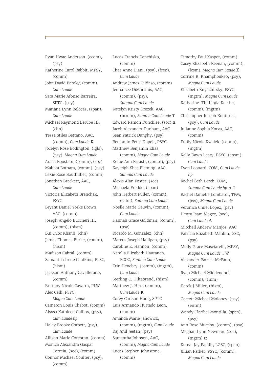Ryan Hwae Anderson, (ecom), (psy) Katherine Carol Babbit, MPSY, (comm) John David Baraky, (comm), *Cum Laude* Sara Marie Afonso Barreira, SPTC, (psy) Mariana Lynn Belocas, (span), *Cum Laude* Michael Raymond Berube III, (chn) Tessa Stiles Bettano, AAC, (comm), *Cum Laude* K Jocelyn Rose Bodington, (lgls), (psy), *Magna Cum Laude* Arash Boostani, (comm), (soc) Mahika Bothara, (comm), (psy) Lexie Rose Bouthillier, (comm) Jonathan Brackett, AAC, *Cum Laude* Victoria Elizabeth Brenchak, PSYC Bryant Daniel Yorke Brown, AAC, (comm) Joseph Angelo Buccheri III, (comm), (hism) Bui Quoc Khanh, (chn) James Thomas Burke, (comm), (hism) Madison Cabral, (comm) Samantha Irene Caulkins, PLSC, (hism) Jackson Anthony Cavallerano, (comm) Brittany Nicole Cavarra, PLW Alec Celli, PSYC, *Magna Cum Laude* Cameron Louis Chabot, (comm) Alyssa Kathleen Collins, (psy), *Cum Laude hp* Haley Brooke Corbett, (psy), *Cum Laude* Allison Marie Corcoran, (comm) Monica Alexandra Gaspar Correia, (soc), (comm) Connor Michael Coulter, (psy), (comm)

Lucas Francis Danchisko, (comm) Chae Anne Diani, (psy), (fren), *Cum Laude* Andrew James DiBiaso, (comm) Jenna Lee DiMartinis, AAC, (comm), (psy), *Summa Cum Laude* Katelyn Kristy Drezek, AAC, (hrmm), *Summa Cum Laude* Τ Edward Ramon Duncklee, (soc) Δ Jacob Alexander Dunham, AAC Sean Patrick Dunphy, (psy) Benjamin Peter Dupell, PSYC Matthew Benjamin Elias, (comm), *Magna Cum Laude* Kellie Ann Errasti, (comm), (psy) Kayleigh Shea Fleming, AAC, *Summa Cum Laude* Alexis Alan Foster, (soc) Michaela Freddo, (span) John Herbert Fuller, (comm), (salm), *Summa Cum Laude* Noelle Marie Gauvin, (comm), *Cum Laude* Hannah Grace Goldman, (comm), (psy) Ricardo M. Gonzalez, (chn) Marcus Joseph Halligan, (psy) Caroline E. Hannon, (comm) Natalia Elizabeth Hautanen, ECOC, *Summa Cum Laude* Erin Henebry, (comm), (mgtm), *Cum Laude* Sterling C. Hiltabrand, (hism) Matthew J. Hird, (comm), *Cum Laude* K Corey Carlson Hong, SPTC Luis Armando Hurtado Leon, (comm) Amanda Marie Janowicz, (comm), (mgtm), *Cum Laude* Raj Anil Jeetan, (psy) Samantha Johnson, AAC, (comm), *Magna Cum Laude* Lucas Stephen Johnstone, (comm)

Timothy Paul Kasper, (comm) Casey Elizabeth Keenan, (comm), (lcsm), *Magna Cum Laude* Σ Corrine R. Khamphoukeo, (psy), *Magna Cum Laude* Elizabeth Knyazhitsky, PSYC, (mgtm), *Magna Cum Laude* Katharine-Thi Linda Koethe, (comm), (mgtm) Christopher Joseph Konturas, (psy), *Cum Laude* Julianne Sophia Korza, AAC, (comm) Emily Nicole Kwalek, (comm), (mgtm) Kelly Dawn Leary, PSYC, (ensm), *Cum Laude* Evan Leonard, COM, *Cum Laude hp* Rachel Beth Lerch, COM, *Summa Cum Laude hp* Λ Τ Rachel Danielle Lombardi, TPM, (psy), *Magna Cum Laude* Veronica Chilel Lopez, (psy) Henry Isam Magee, (soc), *Cum Laude* Δ Mitchell Andrew Manjos, AAC Patricia Elizabeth Mankin, GSC, (psy) Molly Grace Masciarelli, MPSY, *Magna Cum Laude* Τ Ψ Alexander Patrick McFaun, (comm) Ryan Michael Middendorf, (comm), (finm) Derek J Miller, (hism), *Magna Cum Laude* Garrett Michael Moloney, (psy), (entm) Wandy Claribel Montilla, (span), (psy) Ann Rose Murphy, (comm), (psy) Meghan Lynn Newman, (soc), (mgtm)  $α$ Komal Jay Pandit, LGSC, (span) Jillian Parker, PSYC, (comm), *Magna Cum Laude*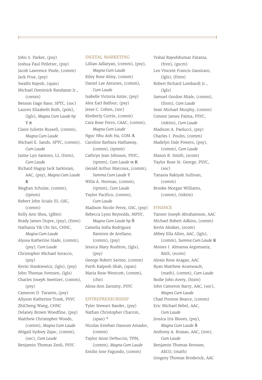John S. Parker, (psy) Joshua Paul Pelletier, (psy) Jacob Lawrence Poole, (comm) Jack Prue, (psy) Swathi Rajesh, (span) Michael Dominick Randazzo Jr., (comm) Benson Gage Raso, SPTC, (soc) Lauren Elizabeth Roth, (pols), (lgls), *Magna Cum Laude hp*  Τ π Claire Juliette Russell, (comm), *Magna Cum Laude* Michael E. Sands, SPTC, (comm), *Cum Laude* Jaime Lyn Santoro, LI, (fstm), *Cum Laude* Richard Hagop Jack Sarkisian, AAC, (psy), *Magna Cum Laude* K Meghan Schulze, (comm), (tpmm) Robert John Scialo III, GSC, (comm) Kelly Ann Shea, (glbm) Brady James Dupre, (psy), (finm) Nathania Yik Chi Sin, CHNC, *Magna Cum Laude* Alyssa Katherine Slade, (comm), (psy), *Cum Laude* Christopher Michael Soracco, (psy) Kevin Stankiewicz, (lgls), (psy) John Thomas Svensen, (lgls) Charles Joseph Sweitzer, (comm), (psy) Cameron D. Taranto, (psy) Allyson Katherine Trask, PSYC ZhiCheng Wang, CHNC Delaney Brown Woodfine, (psy) Matthew Christopher Woods, (comm), *Magna Cum Laude* Abigail Sydney Zajac, (comm), (soc), *Cum Laude* Benjamin Thomas Zeoli, PSYC

#### DIGITAL MARKETING

Lillian Adlaryan, (comm), (psy), *Magna Cum Laude* Kiley Rose Almy, (comm) Daniel Lee Antunes, (comm), *Cum Laude* Isabelle Victoria Azize, (psy) Alex Earl Balfour, (psy) Jesse C. Cohen, (soc) Kimberly Curtin, (comm) Cara Rose Ferro, CAAC, (comm), *Magna Cum Laude* Ngoc Nhu Anh Ha, COM Λ Caroline Barbara Hathaway, (comm), (tpmm) Cathryn Jean Johnson, PSYC, (tpmm), *Cum Laude* α K Gerald Arthur Marcoux, (comm), *Summa Cum Laude* Τ Willa A. Norman, (comm), (tpmm), *Cum Laude* Taylor Pacifico, (comm), *Cum Laude* Madison Nicole Perez, GSC, (psy) Rebecca Lynn Reynolds, MPSY, *Magna Cum Laude hp* δ Camelia Sofia Rodriguez Ramirez de Arellano, (comm), (psy) Jessica Mary Rushton, (lgls), (psy) George Robert Savino, (comm) Parth Kalpesh Shah, (span) Maria Rose Westcott, (comm), (chn) Alexa Ann Zarozny, PSYC

#### ENTREPRENEURSHIP

Tyler Stewart Baeder, (psy) Nathan Christopher Charron, (span) \* Nicolas Esteban Dassum Amador, (comm) Taylor Anne DeNuccio, TPM, (comm), *Magna Cum Laude* Emilio Jose Fagundo, (comm)

Vishal RajeshKumar Fatania, (fren), (gscm) Leo Vincent Francis Gassiraro, (lgls), (finm) Robert Richard Lombardi Jr., (lgls) Samuel Gordon Miale, (comm), (finm), *Cum Laude* Sean Michael Murphy, (comm) Connor James Palma, PSYC, (mktm), *Cum Laude* Madison A. Paolucci, (psy) Charles I. Poulin, (comm) Madelyn Dale Powers, (psy), (comm), *Cum Laude* Mason R. Smith, (ecom) Taylor Rose St. George, PSYC, (soc) Tanasia Rakiyah Sullivan, (comm) Brooke Morgan Williams, (comm), (mktm)

#### FINANCE

Tanner Joseph Abrahamson, AAC Michael Robert Adkins, (comm) Kevin Alezker, (ecom) Abbey Ella Allen, AAC, (lgls), (comm), *Summa Cum Laude* K Moises I. Almansa Argomaniz, BAIS, (ecom) Alexis Rose Aragao, AAC Ryan Matthew Arseneault, (math), (comm), *Cum Laude* Bodie John Avery, (hism) John Cameron Barry, AAC, (soc), *Magna Cum Laude* Chad Preston Bearce, (comm) Eric Michael Bebel, AAC, *Cum Laude* Jessica Iris Bloom, (psy), *Magna Cum Laude* δ Anthony A. Brazao, AAC, (ism), *Cum Laude* Benjamin Thomas Bresnee, AECO, (math) Gregory Thomas Broderick, AAC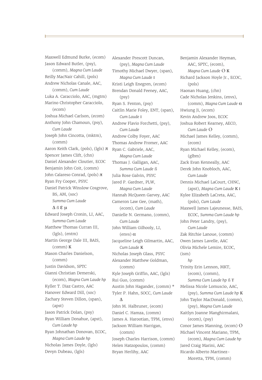Maxwell Edmund Burke, (ecom) Jason Edward Butler, (psy), (comm), *Magna Cum Laude* Reilly MacNair Cahill, (pols) Andrew Nicholas Canale, AAC, (comm), *Cum Laude* Luka A. Caracciolo, AAC, (mgtm) Marino Christopher Caracciolo, (ecom) Joshua Michael Carlson, (ecom) Anthony John Chamoun, (psy), *Cum Laude* Joseph John Cincotta, (mktm), (comm) Aaron Keith Clark, (pols), (lgls) π Spencer James Clift, (chn) Daniel Alexander Cloutier, ECOC Benjamin John Coit, (comm) John Calareso Conrad, (pols) π Ryan Fry Cooper, PSYC Daniel Patrick Winslow Cosgrove, BS, AM, (soc) *Summa Cum Laude*  Δ ß ε µ Edward Joseph Cronin, LI, AAC, *Summa Cum Laude* Matthew Thomas Curran III, (lgls), (entm) Martin George Dale III, BAIS, (comm) K Mason Charles Danielson, (comm) Justin Davidson, SPTC Gianni Christian Demerski, (ecom), *Magna Cum Laude hp* Kyller T. Diaz Castro, AAC Hanover Edward Dill, (soc) Zachary Steven Dillon, (span), (apst) Jason Patrick Dolan, (psy) Ryan William Donahue, (apst), *Cum Laude hp* Ryan Johnathan Donovan, ECOC, *Magna Cum Laude hp* Nicholas James Doyle, (lgls) Devyn Dubeau, (lgls)

Alexander Prescott Duncan, (psy), *Magna Cum Laude* Timothy Michael Dwyer, (span), *Magna Cum Laude* Ι Kristi Leigh Enegren, (ecom) Brendan Donald Feeney, AAC, (psy) Ryan S. Fenton, (psy) Caitlin Marie Foley, ENT, (span), *Cum Laude* Ι Andrew Flavio Forchetti, (psy), *Cum Laude* Andrew Colby Foyer, AAC Thomas Andrew Fromer, AAC Ryan C. Gabriele, AAC, *Magna Cum Laude* Thomas J. Galligan, AAC, *Summa Cum Laude* ß Julia Rose Galvin, PSYC Jared P. Gardner, PLW, *Magna Cum Laude* Hannah McQueen Garvey, AAC Cameron Law Gee, (math), (ecom), *Cum Laude* Danielle N. Germano, (comm), *Cum Laude* John William Gilhooly, LI, (envs) α Jacqueline Leigh Gilmartin, AAC, *Cum Laude* K Nicholas Joseph Glass, PSYC Alexander Matthew Goldman, (comm) Kyle Joseph Griffin, AAC, (lgls) Rui Guo, (comm) Austin John Hagander, (comm) \* Tyler P. Hahn, SOCC, *Cum Laude*  Δ John M. Halbruner, (ecom) Daniel C. Hamza, (comm) James A. Harootian, TPM, (envs) Jackson William Harrigan, (comm) Joseph Charles Harrison, (comm) Helen Hatzopoulos, (comm)

Bryan Herlihy, AAC

Benjamin Alexander Heyman, AAC, SPTC, (ecom), *Magna Cum Laude* O K Richard Jackson Hoyle Jr., ECOC, (pols) Haonan Huang, (chn) Cade Nicholas Jenkins, (envs), (comm), *Magna Cum Laude* α Hwiung Ji, (ecom) Kevin Andrew Joos, ECOC Joshua Robert Kearney, AECO, *Cum Laude* O Michael James Kelley, (comm), (ecom) Ryan Michael Kelley, (ecom), (glbm) Zack Evan Kenneally, AAC Derek John Knobloch, AAC, *Cum Laude* Dennis Michael LaCourt, CHNC, (apst), *Magna Cum Laude* K Ι Kylee Elizabeth LaCreta, AAC, (pols), *Cum Laude* Maxwell James Lajeunesse, BAIS, ECOC, *Summa Cum Laude hp* John Peter Landry, (psy), *Cum Laude* Zak Ritchie Lanoue, (comm) Owen James Lavelle, AAC Olivia Michele Lemire, ECOC, (ism) *hp* Trinity Erin Lennon, MKT, (ecom), (comm), *Summa Cum Laude hp* ß Τ Melissa Nicole Lomuscio, AAC, (psy), *Summa Cum Laude hp* K John Taylor MacDonald, (comm), (psy), *Magna Cum Laude* Kaitlyn Joanne Manghirmalani, (ecom), (psy) Conor James Manning, (ecom) O Michael Vincent Mariano, TPM, (ecom), *Magna Cum Laude hp* Jared Craig Marini, AAC Ricardo Alberto Martinez-Moretta, TPM, (comm)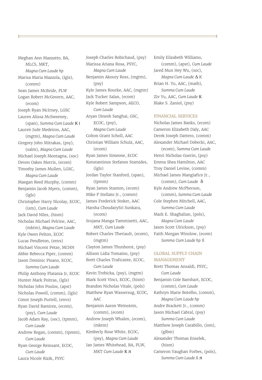Meghan Ann Mazzatto, BA, MLCS, MKT, *Magna Cum Laude hp* Marisa Maria Mazzola, (lgls), (comm) Sean James McBride, PLW Logan Robert McGovern, AAC, (ecom) Joseph Ryan McIrney, LGSC Lauren Alissa McSweeney, (span), *Summa Cum Laude* K Ι Lauren Jude Medeiros, AAC, (mgtm), *Magna Cum Laude* Gregory John Mitrakas, (psy), (salm), *Magna Cum Laude* Michael Joseph Montagna, (soc) Devon Oakes Morris, (ecom) Timothy James Mullen, LGSC, *Magna Cum Laude* Maegan Reed Murphy, (comm) Benjamin Jacob Myers, (comm), (lgls) Christopher Harry Nicolay, ECOC, (ism), *Cum Laude* Jack David Niles, (hism) Nicholas Michael Pelrine, AAC, (mktm), *Magna Cum Laude* Kyle Owen Pelton, ECOC Lucas Pendleton, (envs) Michael Vincent Petze, MCHN Abbie Rebecca Piper, (comm) Jason Dominic Pisano, ECOC, *Summa Cum Laude* Philip Anthony Platania Jr, ECOC Hunter Mark Poitras, (lgls) Nicholas John Poulos, (apst) Nicholas Powell, (comm), (lgls) Conor Joseph Purtell, (envs) Ryan David Ramirez, (ecom), (psy), *Cum Laude* Jacob Adam Ray, (soc), (tpmm), *Cum Laude* Andrew Regan, (comm), (tpmm), *Cum Laude* Ryan George Reinsant, ECOC, *Cum Laude* Laura Nicole Rizik, PSYC

Joseph Charles Robichaud, (psy) Marissa Ariana Rosa, PSYC, *Magna Cum Laude* Benjamin Akoury Ross, (mgtm), (psy) Kyle James Rourke, AAC, (mgtm) Jack Tucker Salan, (ecom) Kyle Robert Sampson, AECO, *Cum Laude* Aryan Dinesh Sanghai, GSC, ECOC, (psy), *Magna Cum Laude* Colton Grant Scholl, AAC Christian William Schulz, AAC, (ecom) Ryan James Simeone, ECOC Konstantinos Stefanos Stamides, (lgls) Jordan Taylor Stanford, (span), (tpmm) Ryan James Stanton, (ecom) Mike P Stellato Jr., (comm) James Frederick Stoker, AAC Harsha ChoudarySri Sunkara, (ecom) Srujana Manga Tammisetti, AAC, MKT, *Cum Laude* Robert Charles Theriault, (ecom), (mgtm) Clayton James Thunhorst, (psy) Allison Lidia Tomaino, (psy) Brett Charles Traficante, ECOC, *Cum Laude* Kevin Trebicka, (psy), (mgtm) Mark Scott Vinci, ECOC, (hism) Brandon Nicholas Vitale, (pols) Matthew Ryan Wassersug, ECOC, AAC Benjamin Aaron Weinstein, (comm), (ecom) Andrew Joseph Whalen, (ecom), (mktm) Kimberly Rose White, ECOC, (psy), *Magna Cum Laude* Ian James Whitehead, BA, PLW, MKT *Cum Laude* K π

Emily Elizabeth Williams, (comm), (apst), *Cum Laude* Jared Mun Hey Wu, (soc), *Magna Cum Laude* Δ K Brian H. Yu, AAC, (math), *Summa Cum Laude* Ziv Yu, AAC, *Cum Laude* K Blake S. Zaniol, (psy)

#### FINANCIAL SERVICES

Nicholas James Banks, (ecom) Cameron Elizabeth Daly, AAC Derek Joseph Dattero, (comm) Alexander Michael Dobecki, AAC, (ecom), *Summa Cum Laude* Henri Nicholas Guerin, (psy) Emma Shea Hamilton, AAC Troy Daniel Levine, (comm) Michael James Mangiafico Jr., (comm), *Cum Laude* δ Kyle Andrew McPherson, (comm), *Summa Cum Laude* Cole Stephen Mitchell, AAC, *Summa Cum Laude* Mark E. Shaghalian, (pols), *Magna Cum Laude* Jason Scott Ulrickson, (psy) Faith Morgan Winslow, (ecom) *Summa Cum Laude hp* ß

#### GLOBAL SUPPLY CHAIN MANAGEMENT

Brett Thomas Ansaldi, PSYC, *Cum Laude* Benjamin Cole Barnhart, ECOC, (comm), *Cum Laude* Kathryn Marie Botelho, (comm), *Magna Cum Laude hp* Andre Brackett Jr., (comm) Jason Michael Cabral, (psy) *Summa Cum Laude* Matthew Joseph Carabillo, (ism), (glbm) Alexander Thomas Enselek, (hism) Cameron Vaughan Forbes, (pols), *Summa Cum Laude* ß π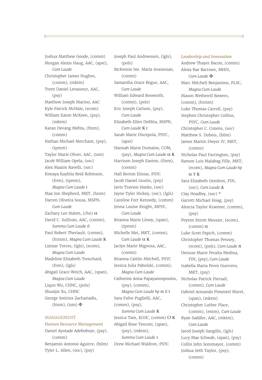Joshua Matthew Goode, (comm) Morgan Alexis Haug, AAC, (apst), *Cum Laude* Christopher James Hughes, (comm), (mktm) Trent Daniel Levasseur, AAC, (psy) Matthew Joseph Marino, AAC Kyle Patrick McHale, (ecom) William Eaton McKeen, (psy), (mktm) Karan Devang Mehta, (finm), (comm) Nathan Michael Merchant, (psy), (tpmm) Taylor Marie Oliver, AAC, (ism) Jacob William Opela, (soc) Alex Maxim Ravelli, (soc) Kimaya Kayhlia Reid Robinson, (fren), (tpmm), *Magna Cum Laude* Ι Max Jon Shepherd, MKT, (hism) Darren Oliveira Sousa, MSPN, *Cum Laude* Zachary Lee Staten, (chn)  $\alpha$ David C. Sullivan, AAC, (comm), *Summa Cum Laude* ß Paul Robert Theriault, (comm), (hrmm), *Magna Cum Laude* K Lizmar Torres, (lgls), (ecom), *Magna Cum Laude* Madeline Elizabeth Trenchard, (fren), (lgls) Abigail Grace Welch, AAC, (span), *Magna Cum Laude* Liqun Wu, CHNC, (pols) Shuaijie Xu, CHNC George Sotirios Zachariadis, (hism), (ism)  $\Phi$ 

#### MANAGEMENT

### *Human Resource Management* Daniel Ayotade Adeboboye, (psy), (comm) Benjamin Antonio Aguirre, (bilm) Tyler L. Allen, (soc), (psy)

Joseph Paul Andreessen, (lgls), (pols) McKensie Ste. Marie Avanesian, (comm) Samantha Grace Bogue, AAC, *Cum Laude* William Edward Bosworth, (comm), (pols) Eric Joseph Carlson, (psy), *Cum Laude* Elizabeth Ellen DeMita, MSPN, *Cum Laude* K Ι Sarah Marie Discepola, PSYC, (apst) Hannah Marie Dumaine, COM, (psy), *Magna Cum Laude* α K Harrison Joseph Easton, (finm), (comm) Hall Berton Elisias, PSYC Jacob Daniel Gustin, (psy) Javis Travion Hanks, (soc) Jayne Tyler Hickey, (soc), (lgls) Caroline Fort Kennedy, (comm) Jenna Louise Knight, MPSY, *Cum Laude* Brianna Marie Litsey, (span), (tpmm) Michelle Mei, MKT, (comm), *Cum Laude* α K Jaclyn Marie Mignosa, AAC, (comm) Brianna Caitlin Mitchell, PSYC Jessica Julia Paholski, (comm), *Magna Cum Laude* Catherine Anna Papayannopoulos, (psy), (comm), *Magna Cum Laude hp* α ß Ι Sara Falvo Puglielli, AAC, (comm), (psy), *Summa Cum Laude* K Jessica Tam, ECOC, (comm) O K Abigail Rose Tesconi, (span), (psy), (mktm), *Summa Cum Laude* Ι Drew Michael Waldron, PSYC

#### *Leadership and Innovation*

Andrew Thayer Bacon, (comm) Alexa Rae Barrows, MHIS, *Cum Laude* Φ Marc Mitchell Benjamino, PLSC, *Magna Cum Laude* Mason Wetherell Bowers, (comm), (hrmm) Luke Thomas Carroll, (psy) Stephen Christopher Collins, PSYC, *Cum Laude* Christopher C. Cozens, (soc) Matthew S. Dubois, (bilm) James Martin Dwyer IV, MKT, (comm) Nicholas Paul Farrington, (psy) Ramon Luis Malabag Fille, MKT, (ecom), *Magna Cum Laude hp*  $α$  T K Sara Elizabeth Gendron, FIN, (soc), *Cum Laude* Δ Clay Hoadley, (soc) \* Garrett Michael Hoag, (psy) Alexcia Taylor Kraemer, (comm), (psy) Peyton Storm Messier, (ecom), (comm) α Luke Scott Papich, (comm) Christopher Thomas Penney, (ecom), (pols), *Cum Laude* π Denisse Marie Peralta Medina, FIN, (psy), *Cum Laude* Isabella Maria Perez Guerrero, MKT, (psy) Nicholas Patrick Piersall, (comm), *Cum Laude* Gabriel Armando Pimentel Morel, (span), (mktm) Christopher Luther Place, (comm), (entm), *Cum Laude* Ryan Saddler, AAC, (mktm), *Cum Laude* Jarod Joseph Sangillo, (lgls) Lucy Mae Schwab, (span), (psy) Collin John Sotomayor, (comm) Joshua Seth Taylor, (psy), (comm)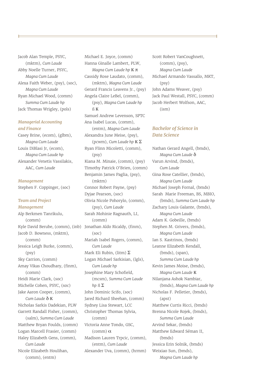Jacob Alan Temple, PSYC, (mktm), *Cum Laude* Abby Noelle Turner, PSYC, *Magna Cum Laude* Alexa Faith Weber, (psy), (soc), *Magna Cum Laude* Ryan Michael Wood, (comm) *Summa Cum Laude hp* Jack Thomas Wrigley, (pols)

#### *Managerial Accounting and Finance*

Casey Brine, (ecom), (glbm), *Magna Cum Laude* Louis DiBlasi Jr, (ecom), *Magna Cum Laude hp* Alexander Venetis Vassilakis, AAC, *Cum Laude*

*Management* Stephen F. Coppinger, (soc)

#### *Team and Project Management*

Kyle David Berube, (comm), (inb) Jonathan Aldo Ricaldy, (finm), Alp Berkmen Tanrikulu, (comm) Jacob D. Bowness, (mktm), (comm) Jessica Leigh Burke, (comm), (psy) Sky Carrion, (comm) Amay Vikas Choudhary, (finm), (comm) Heidi Marie Clark, (soc) Michelle Cohen, PSYC, (soc) Jake Aaron Cooper, (comm), *Cum Laude* δ K Nicholas Sarkis Dadekian, PLW Garrett Randall Fisher, (comm), (salm), *Summa Cum Laude* Matthew Bryan Foulds, (comm) Logan Marcell Frasier, (comm) Haley Elizabeth Gens, (comm), *Cum Laude* Nicole Elizabeth Houlihan, (comm), (entm)

Michael E. Joyce, (comm) Hanna Ginalle Lambert, PLW, *Magna Cum Laude hp* K π Cassidy Rose Laudato, (comm), (mktm), *Magna Cum Laude* Gerard Francis Leavens Jr., (psy) Angela Claire LeBel, (comm), (psy), *Magna Cum Laude hp* ß K Samuel Andrew Levenson, SPTC Ana Isabel Lucas, (comm), (entm), *Magna Cum Laude* Alexandra June Meise, (psy), (pcwm), *Cum Laude hp* K Σ Ryan Flinn Micoletti, (comm), (psy) Kiana M. Minaie, (comm), (psy) Timothy Patrick O'Brien, (comm) Benjamin James Paglia, (psy), (mktm) Connor Robert Payne, (psy) Dyjae Pearson, (soc) Olivia Nicole Pohorylo, (comm), (psy), *Cum Laude* Sarah Mohinie Ragnauth, LI, (comm) (soc) Mariah Isabel Rogers, (comm), *Cum Laude* Mark Eli Rubin, (litm)  $\Sigma$ Logan Michael Sarkisian, (lgls), *Cum Laude hp* Josephine Mary Schofield, (mcsm), *Summa Cum Laude hp* ß Σ John Dominic Scifo, (soc) Jared Richard Sheehan, (comm) Sydney Lisa Stewart, LCC Christopher Thomas Sylvia, (comm) Victoria Anne Tondo, GSC, (comm) α Madison Lauren Trpcic, (comm), (entm), *Cum Laude* Alexander Uva, (comm), (hrmm)

Scott Robert VanCoughnett, (comm), (psy), *Magna Cum Laude* Michael Armando Vassallo, MKT, (psy) John Adams Weaver, (psy) Jack Paul Westall, PSYC, (comm) Jacob Herbert Wolfson, AAC, (ism)

#### *Bachelor of Science in Data Science*

Nathan Gerard Angell, (bmds), *Magna Cum Laude* δ Varun Arvind, (bmds), *Cum Laude* Gina Rose Catellier, (bmds), *Magna Cum Laude* Michael Joseph Fornal, (bmds) Sarah Marie Freeman, BS, MBIO, (bmds), *Summa Cum Laude hp* Zachary Louis Galante, (bmds), *Magna Cum Laude* Adam K. Gobeille, (bmds) Stephen M. Grivers, (bmds), *Magna Cum Laude* Ian S. Kastrinos, (bmds) Leanne Elizabeth Kendall, (bmds), (span), *Summa Cum Laude hp* Kevin James Moise, (bmds), *Magna Cum Laude* K Nilanjana Ashok Nambiar, (bmds), *Magna Cum Laude hp* Nicholas F. Pelletier, (bmds), (apst) Matthew Curtis Ricci, (bmds) Brenna Nicole Rojek, (bmds), *Summa Cum Laude* Arvind Sekar, (bmds) Matthew Edward Séman II, (bmds) Jessica Erin Solnik, (bmds) Weixiao Sun, (bmds), *Magna Cum Laude hp*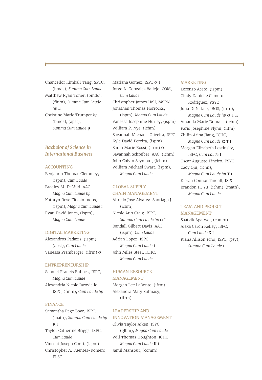Chancellor Kimball Tang, SPTC, (bmds), *Summa Cum Laude* Matthew Ryan Toner, (bmds), (finm), *Summa Cum Laude hp* ß Christine Marie Trumper *hp*, (bmds), (apst), *Summa Cum Laude* µ

#### *Bachelor of Science in International Business*

#### ACCOUNTING

Benjamin Thomas Clemmey, (ispm), *Cum Laude* Bradley M. DeMild, AAC, *Magna Cum Laude hp* Kathryn Rose Fitzsimmons, (ispm), *Magna Cum Laude* Ι Ryan David Jones, (ispm), *Magna Cum Laude* 

#### DIGITAL MARKETING

Alexandros Padazis, (ispm), (apst), *Cum Laude* Vanessa Pramberger, (ifrm) α

#### ENTREPRENEURSHIP

Samuel Francis Bullock, ISPC, *Magna Cum Laude* Alexandria Nicole Iacoviello, ISPC, (finm), *Cum Laude hp* 

#### FINANCE

Samantha Page Bove, ISPC, (math), *Summa Cum Laude hp* K Ι Taylor Catherine Briggs, ISPC, *Cum Laude* Vincent Joseph Conti, (ispm) Christopher A. Fuentes-Romero, PLSC

Mariana Gomez, ISPC α Ι Jorge A. Gonzalez Vallejo, COM, *Cum Laude* Christopher James Hall, MSPN Jonathan Thomas Horrocks, (ispm), *Magna Cum Laude* Ι

Vanessa Josephine Hurley, (ispm) William P. Nye, (ichm) Savannah Michaels Oliveira, ISPC Kyle David Pereira, (ispm) Sarah Marie Rossi, (ifrm) α Savannah Schreiber, AAC, (ichm) John Colvin Seymour, (ichm) William Michael Swart, (ispm), *Magna Cum Laude*

#### GLOBAL SUPPLY CHAIN MANAGEMENT

Alfredo Jose Alvarez-Santiago Jr., (ichm) Nicole Ann Craig, ISPC, *Summa Cum Laude hp* α Ι Randall Gilbert Davis, AAC, (ispm), *Cum Laude* Adrian Lopez, ISPC, *Magna Cum Laude* Ι John Miles Steel, ICHC, *Magna Cum Laude*

#### HUMAN RESOURCE MANAGEMENT

Morgan Lee LaBonte, (ifrm) Alexandra Mary Sulmasy, (ifrm)

#### LEADERSHIP AND

#### INNOVATION MANAGEMENT

Olivia Taylor Aiken, ISPC, (glbm), *Magna Cum Laude* Will Thomas Houghton, ICHC, *Magna Cum Laude* K Ι Jamil Mansour, (comm)

#### MARKETING

Lorenzo Aceto, (ispm) Cindy Danielle Camero Rodriguez, PSYC Julia Di Natale, IBGS, (ifrm), *Magna Cum Laude hp* α Τ K Amanda Marie Dumais, (ichm) Paris Josephine Flynn, (iitm) Zhilin Arina Jiang, ICHC, *Magna Cum Laude* α Τ Ι Morgan Elizabeth Lestinsky, ISPC, *Cum Laude* Ι Oscar Augusto Pineiro, PSYC Cady Qiu, (ichn), *Magna Cum Laude hp* Τ Ι Kieran Connor Tindall, ISPC Brandon H. Yu, (ichm), (math), *Magna Cum Laude*

#### TEAM AND PROJECT MANAGEMENT

Saatvik Agarwal, (comm) Alexa Caron Kelley, ISPC, *Cum Laude* K Ι Kiana Allison Pino, ISPC, (psy), *Summa Cum Laude* Ι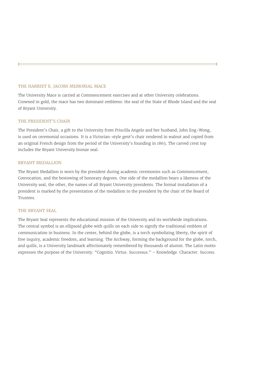#### THE HARRIET E. JACOBS MEMORIAL MACE

The University Mace is carried at Commencement exercises and at other University celebrations. Crowned in gold, the mace has two dominant emblems: the seal of the State of Rhode Island and the seal of Bryant University.

#### THE PRESIDENT'S CHAIR

The President's Chair, a gift to the University from Priscilla Angelo and her husband, John Eng-Wong, is used on ceremonial occasions. It is a Victorian-style gent's chair rendered in walnut and copied from an original French design from the period of the University's founding in 1863. The carved crest top includes the Bryant University bronze seal.

#### BRYANT MEDALLION

The Bryant Medallion is worn by the president during academic ceremonies such as Commencement, Convocation, and the bestowing of honorary degrees. One side of the medallion bears a likeness of the University seal, the other, the names of all Bryant University presidents. The formal installation of a president is marked by the presentation of the medallion to the president by the chair of the Board of Trustees.

#### THE BRYANT SEAL

The Bryant Seal represents the educational mission of the University and its worldwide implications. The central symbol is an ellipsoid globe with quills on each side to signify the traditional emblem of communication in business. In the center, behind the globe, is a torch symbolizing liberty, the spirit of free inquiry, academic freedom, and learning. The Archway, forming the background for the globe, torch, and quills, is a University landmark affectionately remembered by thousands of alumni. The Latin motto expresses the purpose of the University: "Cognitio. Virtus. Successus." – Knowledge. Character. Success.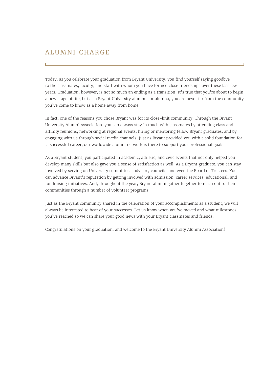### ALUMNI CHARGE

Today, as you celebrate your graduation from Bryant University, you find yourself saying goodbye to the classmates, faculty, and staff with whom you have formed close friendships over these last few years. Graduation, however, is not so much an ending as a transition. It's true that you're about to begin a new stage of life, but as a Bryant University alumnus or alumna, you are never far from the community you've come to know as a home away from home.

In fact, one of the reasons you chose Bryant was for its close-knit community. Through the Bryant University Alumni Association, you can always stay in touch with classmates by attending class and affinity reunions, networking at regional events, hiring or mentoring fellow Bryant graduates, and by engaging with us through social media channels. Just as Bryant provided you with a solid foundation for a successful career, our worldwide alumni network is there to support your professional goals.

As a Bryant student, you participated in academic, athletic, and civic events that not only helped you develop many skills but also gave you a sense of satisfaction as well. As a Bryant graduate, you can stay involved by serving on University committees, advisory councils, and even the Board of Trustees. You can advance Bryant's reputation by getting involved with admission, career services, educational, and fundraising initiatives. And, throughout the year, Bryant alumni gather together to reach out to their communities through a number of volunteer programs.

Just as the Bryant community shared in the celebration of your accomplishments as a student, we will always be interested to hear of your successes. Let us know when you've moved and what milestones you've reached so we can share your good news with your Bryant classmates and friends.

Congratulations on your graduation, and welcome to the Bryant University Alumni Association!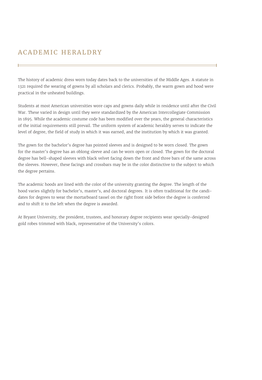### ACADEMIC HERALDRY

The history of academic dress worn today dates back to the universities of the Middle Ages. A statute in 1321 required the wearing of gowns by all scholars and clerics. Probably, the warm gown and hood were practical in the unheated buildings.

Students at most American universities wore caps and gowns daily while in residence until after the Civil War. These varied in design until they were standardized by the American Intercollegiate Commission in 1895. While the academic costume code has been modified over the years, the general characteristics of the initial requirements still prevail. The uniform system of academic heraldry serves to indicate the level of degree, the field of study in which it was earned, and the institution by which it was granted.

The gown for the bachelor's degree has pointed sleeves and is designed to be worn closed. The gown for the master's degree has an oblong sleeve and can be worn open or closed. The gown for the doctoral degree has bell-shaped sleeves with black velvet facing down the front and three bars of the same across the sleeves. However, these facings and crossbars may be in the color distinctive to the subject to which the degree pertains.

The academic hoods are lined with the color of the university granting the degree. The length of the hood varies slightly for bachelor's, master's, and doctoral degrees. It is often traditional for the candidates for degrees to wear the mortarboard tassel on the right front side before the degree is conferred and to shift it to the left when the degree is awarded.

At Bryant University, the president, trustees, and honorary degree recipients wear specially-designed gold robes trimmed with black, representative of the University's colors.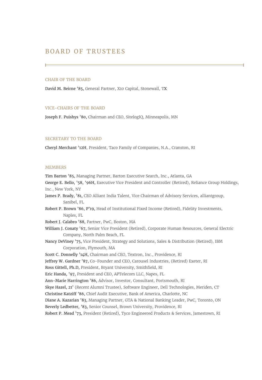### BOARD OF TRUSTEES

#### CHAIR OF THE BOARD

David M. Beirne '85, General Partner, X10 Capital, Stonewall, TX

#### VICE-CHAIRS OF THE BOARD

Joseph F. Puishys '80, Chairman and CEO, SitelogIQ, Minneapolis, MN

#### SECRETARY TO THE BOARD

Cheryl Merchant '12H, President, Taco Family of Companies, N.A., Cranston, RI

#### MEMBERS

Tim Barton '85, Managing Partner, Barton Executive Search, Inc., Atlanta, GA

George E. Bello, '58, '96H, Executive Vice President and Controller (Retired), Reliance Group Holdings, Inc., New York, NY

- James P. Brady, '81, CEO Alliant India Talent, Vice Chairman of Advisory Services, alliantgroup, Sanibel, FL
- Robert P. Brown '86, P'19, Head of Institutional Fixed Income (Retired), Fidelity Investments, Naples, FL
- Robert J. Calabro '88, Partner, PwC, Boston, MA
- William J. Conaty '67, Senior Vice President (Retired), Corporate Human Resources, General Electric Company, North Palm Beach, FL

Nancy DeViney '75, Vice President, Strategy and Solutions, Sales & Distribution (Retired), IBM Corporation, Plymouth, MA

Scott C. Donnelly '14H, Chairman and CEO, Textron, Inc., Providence, RI

- Jeffrey W. Gardner '87, Co-Founder and CEO, Carousel Industries, (Retired) Exeter, RI
- Ross Gittell, Ph.D, President, Bryant University, Smithfield, RI
- Eric Handa, '97, President and CEO, APTelecom LLC, Napes, FL
- Ann-Marie Harrington '86, Advisor, Investor, Consultant, Portsmouth, RI

Skye Hazel, 21' (Recent Alumni Trustee), Software Engineer, Dell Technologies, Meriden, CT

Christine Katziff '86, Chief Audit Executive, Bank of America, Charlotte, NC

Diane A. Kazarian '83, Managing Partner, GTA & National Banking Leader, PwC, Toronto, ON Beverly Ledbetter, '83, Senior Counsel, Brown University, Providence, RI

Robert P. Mead '73, President (Retired), Tyco Engineered Products & Services, Jamestown, RI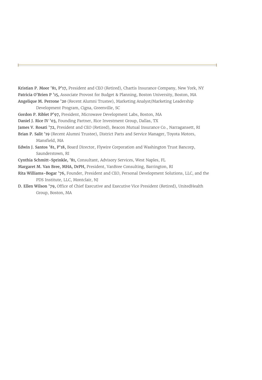Kristian P. Moor '81, P'17, President and CEO (Retired), Chartis Insurance Company, New York, NY Patricia O'Brien P '15, Associate Provost for Budget & Planning, Boston University, Boston, MA Angelique M. Perrone '20 (Recent Alumni Trustee), Marketing Analyst/Marketing Leadership

Development Program, Cigna, Greenville, SC

- Gordon P. Riblet P'97, President, Microwave Development Labs, Boston, MA
- Daniel J. Rice IV '03, Founding Partner, Rice Investment Group, Dallas, TX
- James V. Rosati '72, President and CEO (Retired), Beacon Mutual Insurance Co., Narragansett, RI
- Brian P. Salit '19 (Recent Alumni Trustee), District Parts and Service Manager, Toyota Motors, Mansfield, MA
- Edwin J. Santos '81, P'18, Board Director, Flywire Corporation and Washington Trust Bancorp, Saunderstown, RI

Cynthia Schmitt-Sprinkle, '81, Consultant, Advisory Services, West Naples, FL

- Margaret M. Van Bree, MHA, DrPH, President, VanBree Consulting, Barrington, RI
- Rita Williams-Bogar '76, Founder, President and CEO, Personal Development Solutions, LLC, and the PDS Institute, LLC, Montclair, NJ
- D. Ellen Wilson '79, Office of Chief Executive and Executive Vice President (Retired), UnitedHealth Group, Boston, MA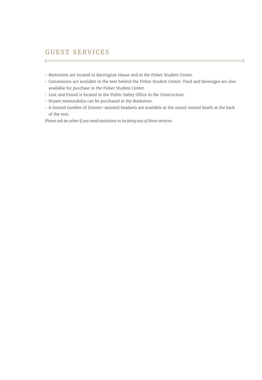## GUEST SERVICES

 $\equiv$ 

- Restrooms are located in Barrington House and in the Fisher Student Center.
- Concessions are available in the tent behind the Fisher Student Center. Food and beverages are also available for purchase in the Fisher Student Center.
- Lost and Found is located in the Public Safety Office in the Unistructure.
- Bryant memorabilia can be purchased at the Bookstore.
- A limited number of listener-assisted headsets are available at the sound control booth at the back of the tent.

*Please ask an usher if you need assistance in locating any of these services.*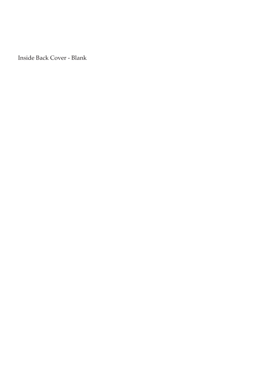Inside Back Cover - Blank